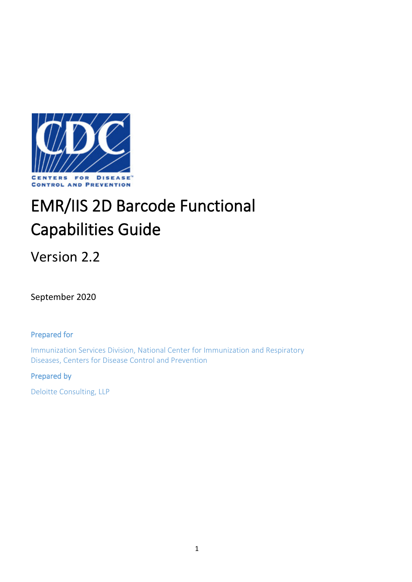

# EMR/IIS 2D Barcode Functional Capabilities Guide

Version 2.2

September 2020

Prepared for

Immunization Services Division, National Center for Immunization and Respiratory Diseases, Centers for Disease Control and Prevention

# Prepared by

Deloitte Consulting, LLP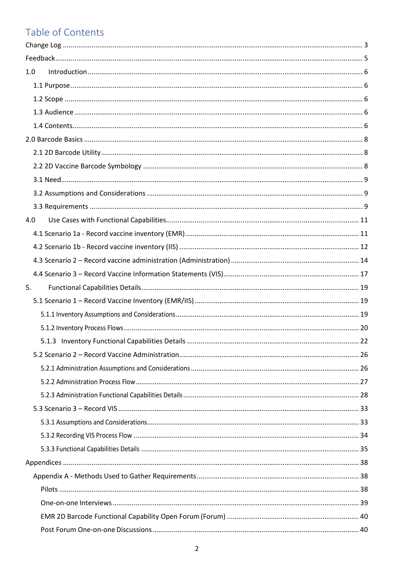# Table of Contents

| 1.0 |  |
|-----|--|
|     |  |
|     |  |
|     |  |
|     |  |
|     |  |
|     |  |
|     |  |
|     |  |
|     |  |
|     |  |
| 4.0 |  |
|     |  |
|     |  |
|     |  |
|     |  |
| 5.  |  |
|     |  |
|     |  |
|     |  |
|     |  |
|     |  |
|     |  |
|     |  |
|     |  |
|     |  |
|     |  |
|     |  |
|     |  |
|     |  |
|     |  |
|     |  |
|     |  |
|     |  |
|     |  |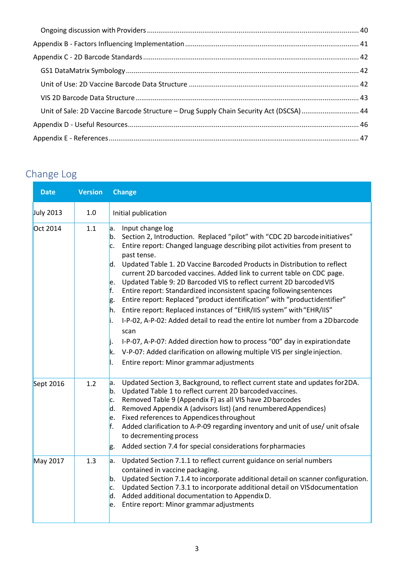| Unit of Sale: 2D Vaccine Barcode Structure - Drug Supply Chain Security Act (DSCSA)  44 |  |
|-----------------------------------------------------------------------------------------|--|
|                                                                                         |  |
|                                                                                         |  |

# <span id="page-2-0"></span>Change Log

| <b>Date</b>      | <b>Version</b> | <b>Change</b>                                                                                                                                                                                                                                                                                                                                                                                                                                                                                                                                                                                                                                                                                                                                                                                                                                                                                                                                                                                                                             |
|------------------|----------------|-------------------------------------------------------------------------------------------------------------------------------------------------------------------------------------------------------------------------------------------------------------------------------------------------------------------------------------------------------------------------------------------------------------------------------------------------------------------------------------------------------------------------------------------------------------------------------------------------------------------------------------------------------------------------------------------------------------------------------------------------------------------------------------------------------------------------------------------------------------------------------------------------------------------------------------------------------------------------------------------------------------------------------------------|
| <b>July 2013</b> | 1.0            | Initial publication                                                                                                                                                                                                                                                                                                                                                                                                                                                                                                                                                                                                                                                                                                                                                                                                                                                                                                                                                                                                                       |
| Oct 2014         | 1.1            | Input change log<br>a.<br>Section 2, Introduction. Replaced "pilot" with "CDC 2D barcode initiatives"<br>$\mathsf{b}$ .<br>Entire report: Changed language describing pilot activities from present to<br>c.<br>past tense.<br>d. Updated Table 1. 2D Vaccine Barcoded Products in Distribution to reflect<br>current 2D barcoded vaccines. Added link to current table on CDC page.<br>Updated Table 9: 2D Barcoded VIS to reflect current 2D barcoded VIS<br>e.<br>f.<br>Entire report: Standardized inconsistent spacing followingsentences<br>Entire report: Replaced "product identification" with "productidentifier"<br>g.<br>Entire report: Replaced instances of "EHR/IIS system" with "EHR/IIS"<br>h.<br>I-P-02, A-P-02: Added detail to read the entire lot number from a 2D barcode<br>li.<br>scan<br>I-P-07, A-P-07: Added direction how to process "00" day in expiration date<br>IJ.<br>V-P-07: Added clarification on allowing multiple VIS per single injection.<br>k.<br>Ι.<br>Entire report: Minor grammar adjustments |
| Sept 2016        | 1.2            | Updated Section 3, Background, to reflect current state and updates for 2DA.<br>a.<br>Updated Table 1 to reflect current 2D barcoded vaccines.<br>b.<br>Removed Table 9 (Appendix F) as all VIS have 2D barcodes<br>c.<br>Removed Appendix A (advisors list) (and renumbered Appendices)<br>d.<br>Fixed references to Appendices throughout<br>e.<br>f.<br>Added clarification to A-P-09 regarding inventory and unit of use/ unit of sale<br>to decrementing process<br>Added section 7.4 for special considerations for pharmacies<br>g.                                                                                                                                                                                                                                                                                                                                                                                                                                                                                                |
| May 2017         | 1.3            | Updated Section 7.1.1 to reflect current guidance on serial numbers<br>a.<br>contained in vaccine packaging.<br>Updated Section 7.1.4 to incorporate additional detail on scanner configuration.<br>b.<br>Updated Section 7.3.1 to incorporate additional detail on VIS documentation<br>c.<br>Added additional documentation to Appendix D.<br>d.<br>Entire report: Minor grammar adjustments<br>le.                                                                                                                                                                                                                                                                                                                                                                                                                                                                                                                                                                                                                                     |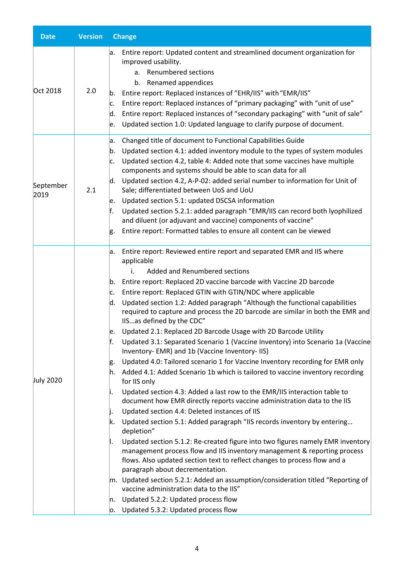| <b>Date</b>       | <b>Version</b> | <b>Change</b>                                                                                                                                                                                                                                                                                                                                                                                                                                                                                                                                                                                                                                                                                                                                                                                                                                                                                                                                                                                                                                                                                                                                                                                                                                                                                                                                                                                                                                                                                                                                                                                                                                                                                                                       |
|-------------------|----------------|-------------------------------------------------------------------------------------------------------------------------------------------------------------------------------------------------------------------------------------------------------------------------------------------------------------------------------------------------------------------------------------------------------------------------------------------------------------------------------------------------------------------------------------------------------------------------------------------------------------------------------------------------------------------------------------------------------------------------------------------------------------------------------------------------------------------------------------------------------------------------------------------------------------------------------------------------------------------------------------------------------------------------------------------------------------------------------------------------------------------------------------------------------------------------------------------------------------------------------------------------------------------------------------------------------------------------------------------------------------------------------------------------------------------------------------------------------------------------------------------------------------------------------------------------------------------------------------------------------------------------------------------------------------------------------------------------------------------------------------|
| Oct 2018          | 2.0            | Entire report: Updated content and streamlined document organization for<br>a.<br>improved usability.<br>a. Renumbered sections<br>b. Renamed appendices<br>Entire report: Replaced instances of "EHR/IIS" with "EMR/IIS"<br>b.<br>Entire report: Replaced instances of "primary packaging" with "unit of use"<br>c.<br>Entire report: Replaced instances of "secondary packaging" with "unit of sale"<br>d.<br>Updated section 1.0: Updated language to clarify purpose of document.<br>le.                                                                                                                                                                                                                                                                                                                                                                                                                                                                                                                                                                                                                                                                                                                                                                                                                                                                                                                                                                                                                                                                                                                                                                                                                                        |
| September<br>2019 | 2.1            | Changed title of document to Functional Capabilities Guide<br>a.<br>Updated section 4.1: added inventory module to the types of system modules<br>b.<br>Updated section 4.2, table 4: Added note that some vaccines have multiple<br>c.<br>components and systems should be able to scan data for all<br>Updated section 4.2, A-P-02: added serial number to information for Unit of<br>ld.<br>Sale; differentiated between UoS and UoU<br>Updated section 5.1: updated DSCSA information<br>le.<br>ŀ.<br>Updated section 5.2.1: added paragraph "EMR/IIS can record both lyophilized<br>and diluent (or adjuvant and vaccine) components of vaccine"<br>Entire report: Formatted tables to ensure all content can be viewed<br>g.                                                                                                                                                                                                                                                                                                                                                                                                                                                                                                                                                                                                                                                                                                                                                                                                                                                                                                                                                                                                  |
| <b>July 2020</b>  |                | Entire report: Reviewed entire report and separated EMR and IIS where<br>a.<br>applicable<br>Added and Renumbered sections<br>Entire report: Replaced 2D vaccine barcode with Vaccine 2D barcode<br>b.<br>Entire report: Replaced GTIN with GTIN/NDC where applicable<br>c.<br>Updated section 1.2: Added paragraph "Although the functional capabilities<br>d.<br>required to capture and process the 2D barcode are similar in both the EMR and<br>IISas defined by the CDC"<br>Updated 2.1: Replaced 2D Barcode Usage with 2D Barcode Utility<br>le.<br>ŀ.<br>Updated 3.1: Separated Scenario 1 (Vaccine Inventory) into Scenario 1a (Vaccine<br>Inventory- EMR) and 1b (Vaccine Inventory-IIS)<br>Updated 4.0: Tailored scenario 1 for Vaccine Inventory recording for EMR only<br>g.<br>Added 4.1: Added Scenario 1b which is tailored to vaccine inventory recording<br>h.<br>for IIS only<br>Updated section 4.3: Added a last row to the EMR/IIS interaction table to<br>μ.<br>document how EMR directly reports vaccine administration data to the IIS<br>Updated section 4.4: Deleted instances of IIS<br>li.<br>Updated section 5.1: Added paragraph "IIS records inventory by entering<br>k.<br>depletion"<br>Updated section 5.1.2: Re-created figure into two figures namely EMR inventory<br>Ι.<br>management process flow and IIS inventory management & reporting process<br>flows. Also updated section text to reflect changes to process flow and a<br>paragraph about decrementation.<br>m. Updated section 5.2.1: Added an assumption/consideration titled "Reporting of<br>vaccine administration data to the IIS"<br>Updated 5.2.2: Updated process flow<br>n.<br>Updated 5.3.2: Updated process flow<br>о. |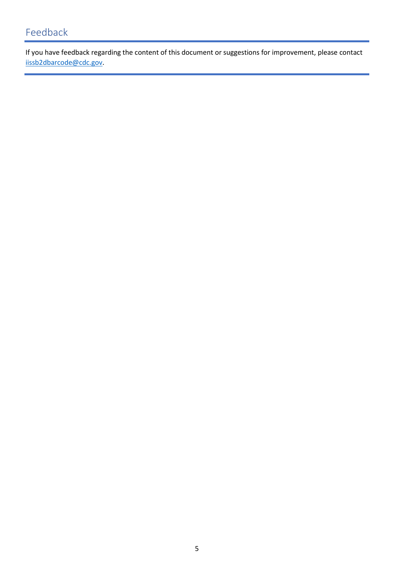# <span id="page-4-0"></span>Feedback

If you have feedback regarding the content of this document or suggestions for improvement, please contact [iissb2dbarcode@cdc.gov.](mailto:iissb2dbarcode@cdc.gov)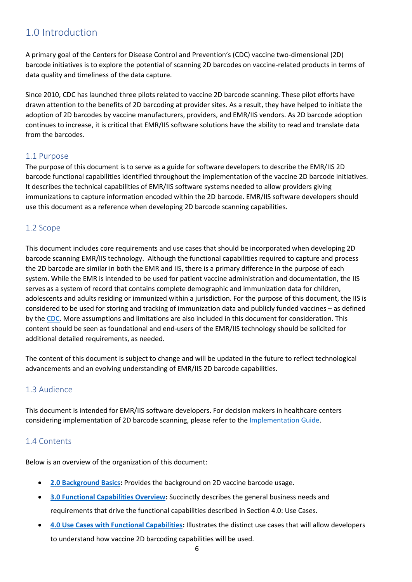# <span id="page-5-0"></span>1.0 Introduction

A primary goal of the Centers for Disease Control and Prevention's (CDC) vaccine two-dimensional (2D) barcode initiatives is to explore the potential of scanning 2D barcodes on vaccine-related products in terms of data quality and timeliness of the data capture.

Since 2010, CDC has launched three pilots related to vaccine 2D barcode scanning. These pilot efforts have drawn attention to the benefits of 2D barcoding at provider sites. As a result, they have helped to initiate the adoption of 2D barcodes by vaccine manufacturers, providers, and EMR/IIS vendors. As 2D barcode adoption continues to increase, it is critical that EMR/IIS software solutions have the ability to read and translate data from the barcodes.

### <span id="page-5-1"></span>1.1 Purpose

The purpose of this document is to serve as a guide for software developers to describe the EMR/IIS 2D barcode functional capabilities identified throughout the implementation of the vaccine 2D barcode initiatives. It describes the technical capabilities of EMR/IIS software systems needed to allow providers giving immunizations to capture information encoded within the 2D barcode. EMR/IIS software developers should use this document as a reference when developing 2D barcode scanning capabilities.

# <span id="page-5-2"></span>1.2 Scope

This document includes core requirements and use cases that should be incorporated when developing 2D barcode scanning EMR/IIS technology. Although the functional capabilities required to capture and process the 2D barcode are similar in both the EMR and IIS, there is a primary difference in the purpose of each system. While the EMR is intended to be used for patient vaccine administration and documentation, the IIS serves as a system of record that contains complete demographic and immunization data for children, adolescents and adults residing or immunized within a jurisdiction. For the purpose of this document, the IIS is considered to be used for storing and tracking of immunization data and publicly funded vaccines – as defined by th[e CDC.](https://www.cdc.gov/vaccines/programs/iis/functional-standards/func-stds-v4-1.html) More assumptions and limitations are also included in this document for consideration. This content should be seen as foundational and end-users of the EMR/IIS technology should be solicited for additional detailed requirements, as needed.

The content of this document is subject to change and will be updated in the future to reflect technological advancements and an evolving understanding of EMR/IIS 2D barcode capabilities.

# <span id="page-5-3"></span>1.3 Audience

This document is intended for EMR/IIS software developers. For decision makers in healthcare centers considering implementation of 2D barcode scanning, please refer to th[e](https://www.cdc.gov/vaccines/programs/iis/2d-vaccine-barcodes/downloads/Scanning-Implementation-Guide-for-Decision-Makers-508.pdf) [Implementation Guide.](https://www.cdc.gov/vaccines/programs/iis/2d-vaccine-barcodes/downloads/Scanning-Implementation-Guide-for-Decision-Makers-508.pdf)

# <span id="page-5-4"></span>1.4 Contents

Below is an overview of the organization of this document:

- **[2.0 Background](#page-7-0) Basics:** Provides the background on 2D vaccine barcode usage.
- **[3.0 Functional Capabilities](#page-8-3) Overview:** Succinctly describes the general business needs and requirements that drive the functional capabilities described in Section 4.0: Use Cases.
- **4.0 Use Cases [with Functional Capabilities:](#page-10-0)** Illustrates the distinct use cases that will allow developers to understand how vaccine 2D barcoding capabilities will be used.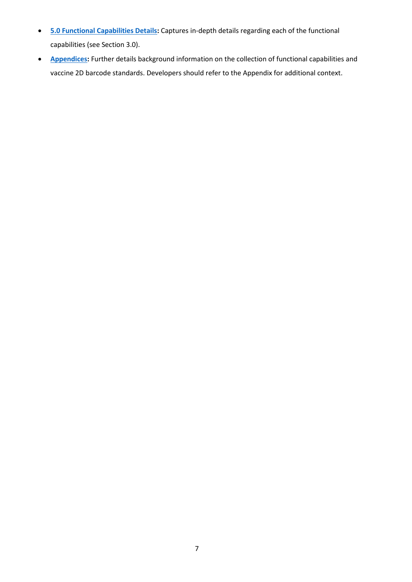- **[5.0 Functional Capabilities Details:](#page-18-0)** Captures in-depth details regarding each of the functional capabilities (see Section 3.0).
- **[Appendices:](#page-37-0)** Further details background information on the collection of functional capabilities and vaccine 2D barcode standards. Developers should refer to the Appendix for additional context.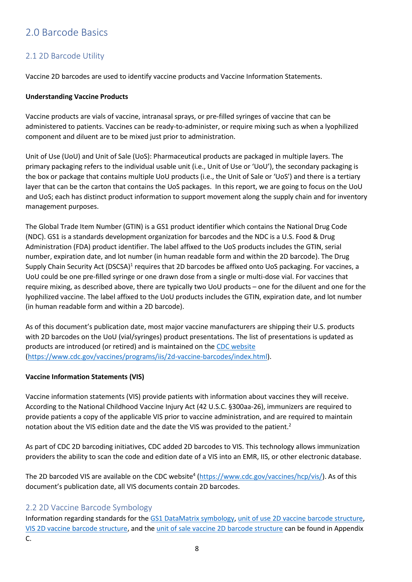# <span id="page-7-0"></span>2.0 Barcode Basics

# <span id="page-7-1"></span>2.1 2D Barcode Utility

Vaccine 2D barcodes are used to identify vaccine products and Vaccine Information Statements.

#### **Understanding Vaccine Products**

Vaccine products are vials of vaccine, intranasal sprays, or pre-filled syringes of vaccine that can be administered to patients. Vaccines can be ready-to-administer, or require mixing such as when a lyophilized component and diluent are to be mixed just prior to administration.

Unit of Use (UoU) and Unit of Sale (UoS): Pharmaceutical products are packaged in multiple layers. The primary packaging refers to the individual usable unit (i.e., Unit of Use or 'UoU'), the secondary packaging is the box or package that contains multiple UoU products (i.e., the Unit of Sale or 'UoS') and there is a tertiary layer that can be the carton that contains the UoS packages. In this report, we are going to focus on the UoU and UoS; each has distinct product information to support movement along the supply chain and for inventory management purposes.

The Global Trade Item Number (GTIN) is a GS1 product identifier which contains the National Drug Code (NDC). GS1 is a standards development organization for barcodes and the NDC is a U.S. Food & Drug Administration (FDA) product identifier. The label affixed to the UoS products includes the GTIN, serial number, expiration date, and lot number (in human readable form and within the 2D barcode). The Drug Supply Chain Security Act (DSCSA)<sup>1</sup> requires that 2D barcodes be affixed onto UoS packaging. For vaccines, a UoU could be one pre-filled syringe or one drawn dose from a single or multi-dose vial. For vaccines that require mixing, as described above, there are typically two UoU products – one for the diluent and one for the lyophilized vaccine. The label affixed to the UoU products includes the GTIN, expiration date, and lot number (in human readable form and within a 2D barcode).

As of this document's publication date, most major vaccine manufacturers are shipping their U.S. products with 2D barcodes on the UoU (vial/syringes) product presentations. The list of presentations is updated as products are introduced (or retired) and is maintained on the [CDC website](https://www.cdc.gov/vaccines/programs/iis/2d-vaccine-barcodes/downloads/Scanning-Implementation-Guide-for-Decision-Makers-508.pdf) [\(https://www.cdc.gov/vaccines/programs/iis/2d-vaccine-barcodes/index.html\)](https://www.cdc.gov/vaccines/programs/iis/2d-vaccine-barcodes/index.html).

#### **Vaccine Information Statements (VIS)**

Vaccine information statements (VIS) provide patients with information about vaccines they will receive. According to the National Childhood Vaccine Injury Act (42 U.S.C. §300aa-26), immunizers are required to provide patients a copy of the applicable VIS prior to vaccine administration, and are required to maintain notation about the VIS edition date and the date the VIS was provided to the patient.2

As part of CDC 2D barcoding initiatives, CDC added 2D barcodes to VIS. This technology allows immunization providers the ability to scan the code and edition date of a VIS into an EMR, IIS, or other electronic database.

<span id="page-7-3"></span>The 2D barcoded VIS are available on the CDC website<sup>4</sup> [\(https://www.cdc.gov/vaccines/hcp/vis/\)](https://www.cdc.gov/vaccines/hcp/vis/). As of this document's publication date, all VIS documents contain 2D barcodes.

# <span id="page-7-2"></span>2.2 2D Vaccine Barcode Symbology

Information regarding standards for th[e GS1 DataMatrix symbology,](#page-41-1) [unit of use 2D vaccine barcode structure,](#page-41-2) [VIS 2D vaccine barcode structure,](#page-42-0) and the [unit of sale vaccine 2D barcode structure](#page-43-0) can be found in Appendix C.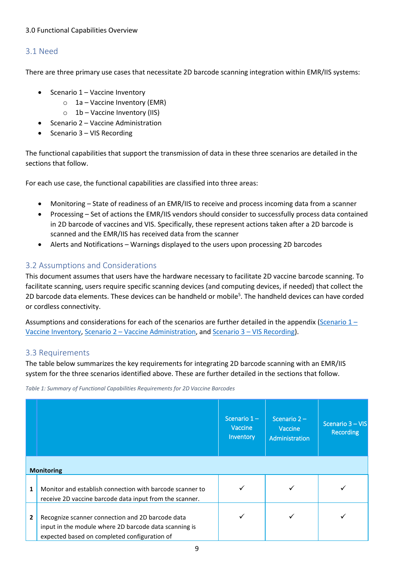#### <span id="page-8-3"></span>3.0 Functional Capabilities Overview

## <span id="page-8-0"></span>3.1 Need

There are three primary use cases that necessitate 2D barcode scanning integration within EMR/IIS systems:

- Scenario 1 Vaccine Inventory
	- $\circ$  1a Vaccine Inventory (EMR)
	- $\circ$  1b Vaccine Inventory (IIS)
- Scenario 2 Vaccine Administration
- Scenario 3 VIS Recording

The functional capabilities that support the transmission of data in these three scenarios are detailed in the sections that follow.

For each use case, the functional capabilities are classified into three areas:

- Monitoring State of readiness of an EMR/IIS to receive and process incoming data from a scanner
- Processing Set of actions the EMR/IIS vendors should consider to successfully process data contained in 2D barcode of vaccines and VIS. Specifically, these represent actions taken after a 2D barcode is scanned and the EMR/IIS has received data from the scanner
- Alerts and Notifications Warnings displayed to the users upon processing 2D barcodes

# <span id="page-8-1"></span>3.2 Assumptions and Considerations

This document assumes that users have the hardware necessary to facilitate 2D vaccine barcode scanning. To facilitate scanning, users require specific scanning devices (and computing devices, if needed) that collect the 2D barcode data elements. These devices can be handheld or mobile<sup>5</sup>. The handheld devices can have corded or cordless connectivity.

Assumptions and considerations for each of the scenarios are further detailed in the appendix (Scenario  $1 -$ [Vaccine Inventory,](#page-18-2) Scenario 2 – [Vaccine Administration,](#page-25-1) and Scenario 3 – [VIS Recording\)](#page-31-0).

#### <span id="page-8-2"></span>3.3 Requirements

The table below summarizes the key requirements for integrating 2D barcode scanning with an EMR/IIS system for the three scenarios identified above. These are further detailed in the sections that follow.

*Table 1: Summary of Functional Capabilities Requirements for 2D Vaccine Barcodes*

|                |                                                                                                                                                           | Scenario $1-$<br>Vaccine<br>Inventory | Scenario $2 -$<br>Vaccine<br>Administration | Scenario 3 - VIS<br><b>Recording</b> |
|----------------|-----------------------------------------------------------------------------------------------------------------------------------------------------------|---------------------------------------|---------------------------------------------|--------------------------------------|
|                | <b>Monitoring</b>                                                                                                                                         |                                       |                                             |                                      |
| 1              | Monitor and establish connection with barcode scanner to<br>receive 2D vaccine barcode data input from the scanner.                                       |                                       |                                             |                                      |
| $\overline{2}$ | Recognize scanner connection and 2D barcode data<br>input in the module where 2D barcode data scanning is<br>expected based on completed configuration of |                                       |                                             |                                      |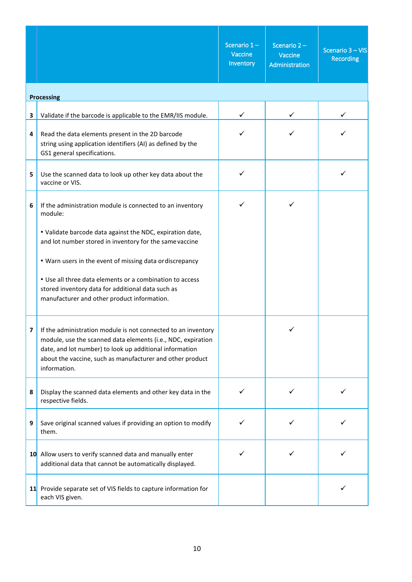|   |                                                                                                                                                                                                                                                                       | Scenario $1-$<br>Vaccine<br>Inventory | Scenario $2 -$<br>Vaccine<br>Administration | Scenario 3 - VIS<br><b>Recording</b> |
|---|-----------------------------------------------------------------------------------------------------------------------------------------------------------------------------------------------------------------------------------------------------------------------|---------------------------------------|---------------------------------------------|--------------------------------------|
|   | <b>Processing</b>                                                                                                                                                                                                                                                     |                                       |                                             |                                      |
| 3 | Validate if the barcode is applicable to the EMR/IIS module.                                                                                                                                                                                                          |                                       |                                             |                                      |
| 4 | Read the data elements present in the 2D barcode<br>string using application identifiers (AI) as defined by the<br>GS1 general specifications.                                                                                                                        |                                       |                                             |                                      |
| 5 | Use the scanned data to look up other key data about the<br>vaccine or VIS.                                                                                                                                                                                           | ✓                                     |                                             |                                      |
| 6 | If the administration module is connected to an inventory<br>module:                                                                                                                                                                                                  |                                       |                                             |                                      |
|   | . Validate barcode data against the NDC, expiration date,<br>and lot number stored in inventory for the same vaccine                                                                                                                                                  |                                       |                                             |                                      |
|   | . Warn users in the event of missing data or discrepancy                                                                                                                                                                                                              |                                       |                                             |                                      |
|   | • Use all three data elements or a combination to access<br>stored inventory data for additional data such as<br>manufacturer and other product information.                                                                                                          |                                       |                                             |                                      |
| 7 | If the administration module is not connected to an inventory<br>module, use the scanned data elements (i.e., NDC, expiration<br>date, and lot number) to look up additional information<br>about the vaccine, such as manufacturer and other product<br>information. |                                       |                                             |                                      |
| 8 | Display the scanned data elements and other key data in the<br>respective fields.                                                                                                                                                                                     | ✓                                     | ✓                                           |                                      |
| 9 | Save original scanned values if providing an option to modify<br>them.                                                                                                                                                                                                | ✓                                     |                                             |                                      |
|   | 10 Allow users to verify scanned data and manually enter<br>additional data that cannot be automatically displayed.                                                                                                                                                   |                                       |                                             |                                      |
|   | 11 Provide separate set of VIS fields to capture information for<br>each VIS given.                                                                                                                                                                                   |                                       |                                             |                                      |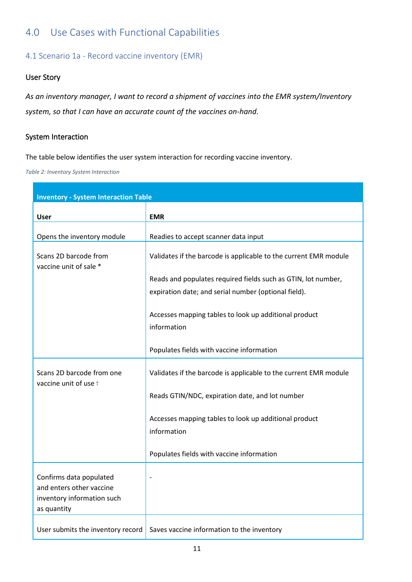# <span id="page-10-0"></span>4.0 Use Cases with Functional Capabilities

# <span id="page-10-1"></span>4.1 Scenario 1a - Record vaccine inventory (EMR)

### User Story

*As an inventory manager, I want to record a shipment of vaccines into the EMR system/Inventory system, so that I can have an accurate count of the vaccines on-hand.* 

#### System Interaction

The table below identifies the user system interaction for recording vaccine inventory.

*Table 2: Inventory System Interaction*

| <b>Inventory - System Interaction Table</b>                                                      |                                                                      |  |
|--------------------------------------------------------------------------------------------------|----------------------------------------------------------------------|--|
| <b>User</b>                                                                                      | <b>EMR</b>                                                           |  |
|                                                                                                  |                                                                      |  |
| Opens the inventory module                                                                       | Readies to accept scanner data input                                 |  |
| Scans 2D barcode from<br>vaccine unit of sale *                                                  | Validates if the barcode is applicable to the current EMR module     |  |
|                                                                                                  | Reads and populates required fields such as GTIN, lot number,        |  |
|                                                                                                  | expiration date; and serial number (optional field).                 |  |
|                                                                                                  | Accesses mapping tables to look up additional product<br>information |  |
|                                                                                                  | Populates fields with vaccine information                            |  |
| Scans 2D barcode from one<br>vaccine unit of use t                                               | Validates if the barcode is applicable to the current EMR module     |  |
|                                                                                                  | Reads GTIN/NDC, expiration date, and lot number                      |  |
|                                                                                                  | Accesses mapping tables to look up additional product<br>information |  |
|                                                                                                  | Populates fields with vaccine information                            |  |
| Confirms data populated<br>and enters other vaccine<br>inventory information such<br>as quantity |                                                                      |  |
| User submits the inventory record                                                                | Saves vaccine information to the inventory                           |  |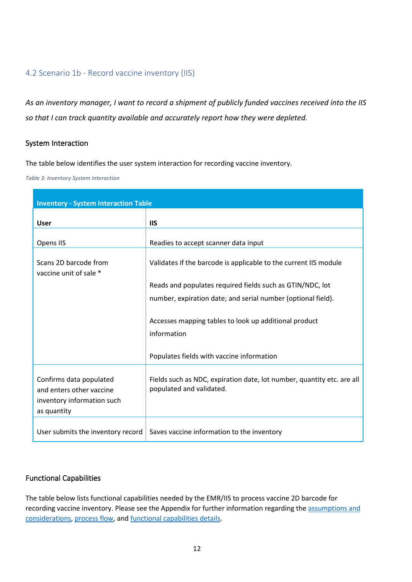# <span id="page-11-0"></span>4.2 Scenario 1b - Record vaccine inventory (IIS)

*As an inventory manager, I want to record a shipment of publicly funded vaccines received into the IIS so that I can track quantity available and accurately report how they were depleted.*

#### System Interaction

The table below identifies the user system interaction for recording vaccine inventory.

*Table 3: Inventory System Interaction*

| <b>Inventory - System Interaction Table</b>                                                      |                                                                                                    |  |  |
|--------------------------------------------------------------------------------------------------|----------------------------------------------------------------------------------------------------|--|--|
| <b>User</b>                                                                                      | <b>IIS</b>                                                                                         |  |  |
| Opens IIS                                                                                        | Readies to accept scanner data input                                                               |  |  |
| Scans 2D barcode from<br>vaccine unit of sale *                                                  | Validates if the barcode is applicable to the current IIS module                                   |  |  |
|                                                                                                  | Reads and populates required fields such as GTIN/NDC, lot                                          |  |  |
|                                                                                                  | number, expiration date; and serial number (optional field).                                       |  |  |
|                                                                                                  | Accesses mapping tables to look up additional product<br>information                               |  |  |
|                                                                                                  | Populates fields with vaccine information                                                          |  |  |
| Confirms data populated<br>and enters other vaccine<br>inventory information such<br>as quantity | Fields such as NDC, expiration date, lot number, quantity etc. are all<br>populated and validated. |  |  |
| User submits the inventory record                                                                | Saves vaccine information to the inventory                                                         |  |  |

# Functional Capabilities

The table below lists functional capabilities needed by the EMR/IIS to process vaccine 2D barcode for recording vaccine inventory. Please see the Appendix for further information regarding the assumptions and [considerations,](#page-18-3) process flow, an[d functional capabilities details.](#page-21-0)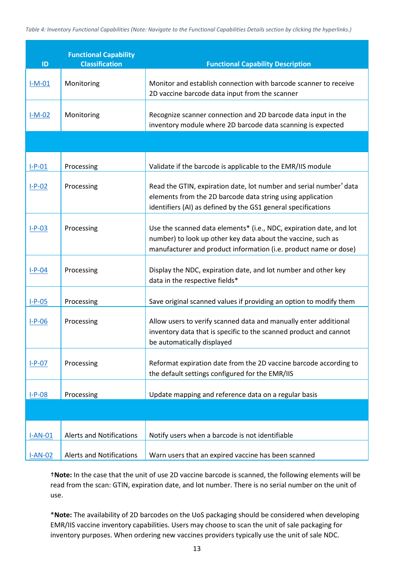| ID        | <b>Functional Capability</b><br><b>Classification</b> | <b>Functional Capability Description</b>                                                                                                                                                                      |
|-----------|-------------------------------------------------------|---------------------------------------------------------------------------------------------------------------------------------------------------------------------------------------------------------------|
| $I-M-01$  | Monitoring                                            | Monitor and establish connection with barcode scanner to receive<br>2D vaccine barcode data input from the scanner                                                                                            |
| $I-M-02$  | Monitoring                                            | Recognize scanner connection and 2D barcode data input in the<br>inventory module where 2D barcode data scanning is expected                                                                                  |
|           |                                                       |                                                                                                                                                                                                               |
| $I-P-01$  | Processing                                            | Validate if the barcode is applicable to the EMR/IIS module                                                                                                                                                   |
| $I-P-02$  | Processing                                            | Read the GTIN, expiration date, lot number and serial number <sup>†</sup> data<br>elements from the 2D barcode data string using application<br>identifiers (AI) as defined by the GS1 general specifications |
| $I-P-03$  | Processing                                            | Use the scanned data elements* (i.e., NDC, expiration date, and lot<br>number) to look up other key data about the vaccine, such as<br>manufacturer and product information (i.e. product name or dose)       |
| $I-P-04$  | Processing                                            | Display the NDC, expiration date, and lot number and other key<br>data in the respective fields*                                                                                                              |
| $I-P-05$  | Processing                                            | Save original scanned values if providing an option to modify them                                                                                                                                            |
| $I-P-06$  | Processing                                            | Allow users to verify scanned data and manually enter additional<br>inventory data that is specific to the scanned product and cannot<br>be automatically displayed                                           |
| $I-P-07$  | Processing                                            | Reformat expiration date from the 2D vaccine barcode according to<br>the default settings configured for the EMR/IIS                                                                                          |
| $I-P-08$  | Processing                                            | Update mapping and reference data on a regular basis                                                                                                                                                          |
|           |                                                       |                                                                                                                                                                                                               |
| $I-AN-01$ | <b>Alerts and Notifications</b>                       | Notify users when a barcode is not identifiable                                                                                                                                                               |
| $I-AN-02$ | <b>Alerts and Notifications</b>                       | Warn users that an expired vaccine has been scanned                                                                                                                                                           |

†**Note:** In the case that the unit of use 2D vaccine barcode is scanned, the following elements will be read from the scan: GTIN, expiration date, and lot number. There is no serial number on the unit of use.

\***Note:** The availability of 2D barcodes on the UoS packaging should be considered when developing EMR/IIS vaccine inventory capabilities. Users may choose to scan the unit of sale packaging for inventory purposes. When ordering new vaccines providers typically use the unit of sale NDC.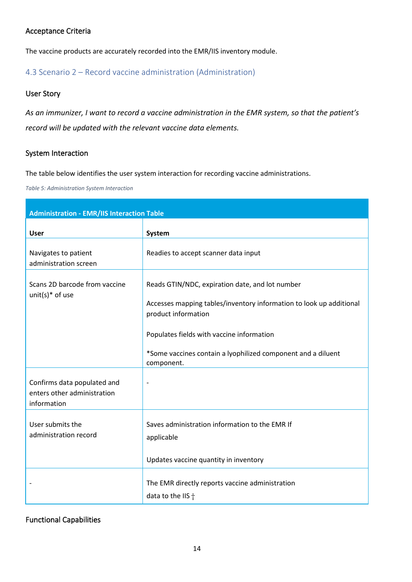# <span id="page-13-1"></span>Acceptance Criteria

The vaccine products are accurately recorded into the EMR/IIS inventory module.

# <span id="page-13-0"></span>4.3 Scenario 2 – Record vaccine administration (Administration)

#### User Story

*As an immunizer, I want to record a vaccine administration in the EMR system, so that the patient's record will be updated with the relevant vaccine data elements.*

### System Interaction

The table below identifies the user system interaction for recording vaccine administrations.

*Table 5: Administration System Interaction*

| <b>Administration - EMR/IIS Interaction Table</b>                         |                                                                                                                                                                                                                                                                          |
|---------------------------------------------------------------------------|--------------------------------------------------------------------------------------------------------------------------------------------------------------------------------------------------------------------------------------------------------------------------|
| <b>User</b>                                                               | System                                                                                                                                                                                                                                                                   |
| Navigates to patient<br>administration screen                             | Readies to accept scanner data input                                                                                                                                                                                                                                     |
| Scans 2D barcode from vaccine<br>unit(s) $*$ of use                       | Reads GTIN/NDC, expiration date, and lot number<br>Accesses mapping tables/inventory information to look up additional<br>product information<br>Populates fields with vaccine information<br>*Some vaccines contain a lyophilized component and a diluent<br>component. |
| Confirms data populated and<br>enters other administration<br>information | $\overline{\phantom{a}}$                                                                                                                                                                                                                                                 |
| User submits the<br>administration record                                 | Saves administration information to the EMR If<br>applicable<br>Updates vaccine quantity in inventory                                                                                                                                                                    |
|                                                                           | The EMR directly reports vaccine administration<br>data to the IIS $\dagger$                                                                                                                                                                                             |

# Functional Capabilities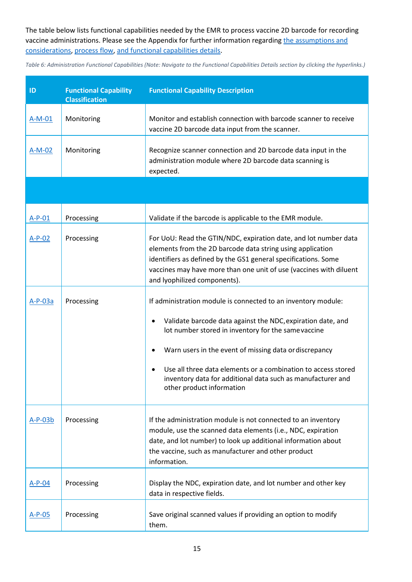The table below lists functional capabilities needed by the EMR to process vaccine 2D barcode for recording vaccine administrations. Please see the Appendix for further information regarding the [assumptions and](#page-25-1)  [considerations,](#page-25-1) [process flow,](#page-26-0) [and functional capabilities details.](#page-27-0)

*Table 6: Administration Functional Capabilities (Note: Navigate to the Functional Capabilities Details section by clicking the hyperlinks.)*

| ID        | <b>Functional Capability</b><br><b>Classification</b> | <b>Functional Capability Description</b>                                                                                                                                                                                                                                                                                                                                                                   |
|-----------|-------------------------------------------------------|------------------------------------------------------------------------------------------------------------------------------------------------------------------------------------------------------------------------------------------------------------------------------------------------------------------------------------------------------------------------------------------------------------|
| $A-M-01$  | Monitoring                                            | Monitor and establish connection with barcode scanner to receive<br>vaccine 2D barcode data input from the scanner.                                                                                                                                                                                                                                                                                        |
| $A-M-02$  | Monitoring                                            | Recognize scanner connection and 2D barcode data input in the<br>administration module where 2D barcode data scanning is<br>expected.                                                                                                                                                                                                                                                                      |
|           |                                                       |                                                                                                                                                                                                                                                                                                                                                                                                            |
| $A-P-01$  | Processing                                            | Validate if the barcode is applicable to the EMR module.                                                                                                                                                                                                                                                                                                                                                   |
| $A-P-02$  | Processing                                            | For UoU: Read the GTIN/NDC, expiration date, and lot number data<br>elements from the 2D barcode data string using application<br>identifiers as defined by the GS1 general specifications. Some<br>vaccines may have more than one unit of use (vaccines with diluent<br>and lyophilized components).                                                                                                     |
| $A-P-03a$ | Processing                                            | If administration module is connected to an inventory module:<br>Validate barcode data against the NDC, expiration date, and<br>lot number stored in inventory for the same vaccine<br>Warn users in the event of missing data or discrepancy<br>Use all three data elements or a combination to access stored<br>inventory data for additional data such as manufacturer and<br>other product information |
| $A-P-03b$ | Processing                                            | If the administration module is not connected to an inventory<br>module, use the scanned data elements (i.e., NDC, expiration<br>date, and lot number) to look up additional information about<br>the vaccine, such as manufacturer and other product<br>information.                                                                                                                                      |
| $A-P-04$  | Processing                                            | Display the NDC, expiration date, and lot number and other key<br>data in respective fields.                                                                                                                                                                                                                                                                                                               |
| A-P-05    | Processing                                            | Save original scanned values if providing an option to modify<br>them.                                                                                                                                                                                                                                                                                                                                     |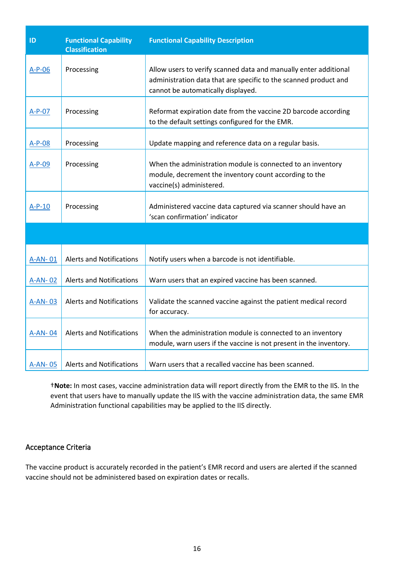| ID       | <b>Functional Capability</b><br><b>Classification</b> | <b>Functional Capability Description</b>                                                                                                                                   |
|----------|-------------------------------------------------------|----------------------------------------------------------------------------------------------------------------------------------------------------------------------------|
| $A-P-06$ | Processing                                            | Allow users to verify scanned data and manually enter additional<br>administration data that are specific to the scanned product and<br>cannot be automatically displayed. |
| $A-P-07$ | Processing                                            | Reformat expiration date from the vaccine 2D barcode according<br>to the default settings configured for the EMR.                                                          |
| $A-P-08$ | Processing                                            | Update mapping and reference data on a regular basis.                                                                                                                      |
| $A-P-09$ | Processing                                            | When the administration module is connected to an inventory<br>module, decrement the inventory count according to the<br>vaccine(s) administered.                          |
| $A-P-10$ | Processing                                            | Administered vaccine data captured via scanner should have an<br>'scan confirmation' indicator                                                                             |
|          |                                                       |                                                                                                                                                                            |
| A-AN-01  | <b>Alerts and Notifications</b>                       | Notify users when a barcode is not identifiable.                                                                                                                           |
| A-AN-02  | <b>Alerts and Notifications</b>                       | Warn users that an expired vaccine has been scanned.                                                                                                                       |
| A-AN-03  | <b>Alerts and Notifications</b>                       | Validate the scanned vaccine against the patient medical record<br>for accuracy.                                                                                           |
| A-AN-04  | <b>Alerts and Notifications</b>                       | When the administration module is connected to an inventory<br>module, warn users if the vaccine is not present in the inventory.                                          |
| A-AN-05  | <b>Alerts and Notifications</b>                       | Warn users that a recalled vaccine has been scanned.                                                                                                                       |

†**Note:** In most cases, vaccine administration data will report directly from the EMR to the IIS. In the event that users have to manually update the IIS with the vaccine administration data, the same EMR Administration functional capabilities may be applied to the IIS directly.

# <span id="page-15-0"></span>Acceptance Criteria

The vaccine product is accurately recorded in the patient's EMR record and users are alerted if the scanned vaccine should not be administered based on expiration dates or recalls.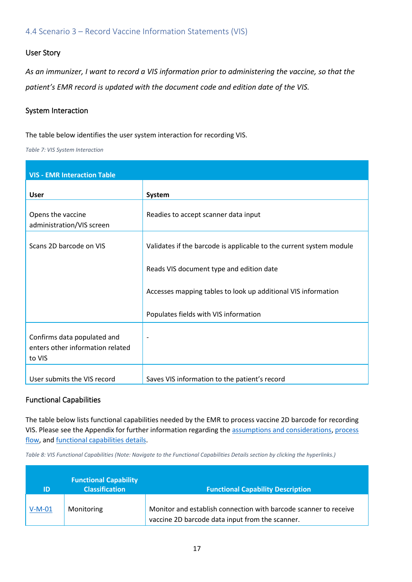<span id="page-16-0"></span>4.4 Scenario 3 – Record Vaccine Information Statements (VIS)

#### User Story

*As an immunizer, I want to record a VIS information prior to administering the vaccine, so that the patient's EMR record is updated with the document code and edition date of the VIS.*

#### System Interaction

The table below identifies the user system interaction for recording VIS.

*Table 7: VIS System Interaction*

| <b>VIS - EMR Interaction Table</b>                                        |                                                                     |  |  |
|---------------------------------------------------------------------------|---------------------------------------------------------------------|--|--|
| <b>User</b>                                                               | System                                                              |  |  |
| Opens the vaccine<br>administration/VIS screen                            | Readies to accept scanner data input                                |  |  |
| Scans 2D barcode on VIS                                                   | Validates if the barcode is applicable to the current system module |  |  |
|                                                                           | Reads VIS document type and edition date                            |  |  |
|                                                                           | Accesses mapping tables to look up additional VIS information       |  |  |
|                                                                           | Populates fields with VIS information                               |  |  |
| Confirms data populated and<br>enters other information related<br>to VIS | $\overline{\phantom{0}}$                                            |  |  |
| User submits the VIS record                                               | Saves VIS information to the patient's record                       |  |  |

#### Functional Capabilities

The table below lists functional capabilities needed by the EMR to process vaccine 2D barcode for recording VIS. Please see the Appendix for further information regarding th[e assumptions and considerations,](#page-32-1) [process](#page-33-0)  [flow,](#page-33-0) and [functional capabilities details.](#page-34-0)

*Table 8: VIS Functional Capabilities (Note: Navigate to the Functional Capabilities Details section by clicking the hyperlinks.)*

| ID       | <b>Functional Capability</b><br><b>Classification</b> | <b>Functional Capability Description</b>                                                                            |
|----------|-------------------------------------------------------|---------------------------------------------------------------------------------------------------------------------|
| $V-M-01$ | Monitoring                                            | Monitor and establish connection with barcode scanner to receive<br>vaccine 2D barcode data input from the scanner. |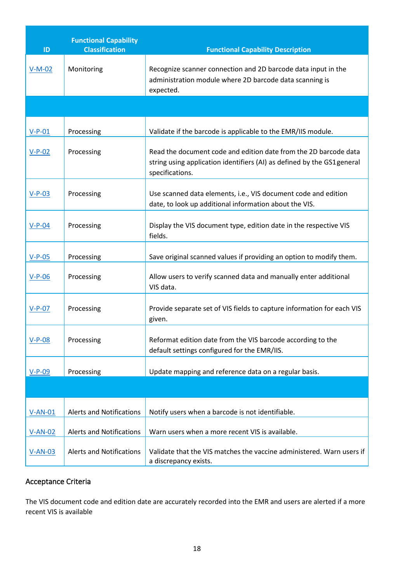| ID             | <b>Functional Capability</b><br><b>Classification</b> | <b>Functional Capability Description</b>                                                                                                                       |
|----------------|-------------------------------------------------------|----------------------------------------------------------------------------------------------------------------------------------------------------------------|
| $V-M-02$       | Monitoring                                            | Recognize scanner connection and 2D barcode data input in the<br>administration module where 2D barcode data scanning is<br>expected.                          |
|                |                                                       |                                                                                                                                                                |
| $V-P-01$       | Processing                                            | Validate if the barcode is applicable to the EMR/IIS module.                                                                                                   |
| $V-P-02$       | Processing                                            | Read the document code and edition date from the 2D barcode data<br>string using application identifiers (AI) as defined by the GS1 general<br>specifications. |
| $V-P-03$       | Processing                                            | Use scanned data elements, i.e., VIS document code and edition<br>date, to look up additional information about the VIS.                                       |
| $V-P-04$       | Processing                                            | Display the VIS document type, edition date in the respective VIS<br>fields.                                                                                   |
| $V-P-05$       | Processing                                            | Save original scanned values if providing an option to modify them.                                                                                            |
| $V-P-06$       | Processing                                            | Allow users to verify scanned data and manually enter additional<br>VIS data.                                                                                  |
| $V-P-07$       | Processing                                            | Provide separate set of VIS fields to capture information for each VIS<br>given.                                                                               |
| $V-P-08$       | Processing                                            | Reformat edition date from the VIS barcode according to the<br>default settings configured for the EMR/IIS.                                                    |
| $V-P-09$       | Processing                                            | Update mapping and reference data on a regular basis.                                                                                                          |
|                |                                                       |                                                                                                                                                                |
| $V-AN-01$      | <b>Alerts and Notifications</b>                       | Notify users when a barcode is not identifiable.                                                                                                               |
| $V-AN-02$      | <b>Alerts and Notifications</b>                       | Warn users when a more recent VIS is available.                                                                                                                |
| <u>V-AN-03</u> | <b>Alerts and Notifications</b>                       | Validate that the VIS matches the vaccine administered. Warn users if<br>a discrepancy exists.                                                                 |

# Acceptance Criteria

The VIS document code and edition date are accurately recorded into the EMR and users are alerted if a more recent VIS is available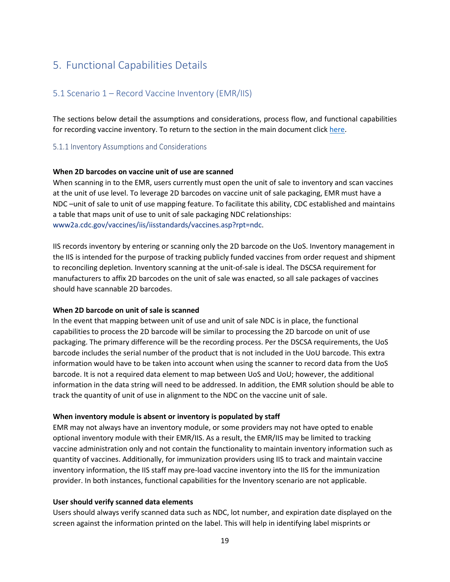# 5. Functional Capabilities Details

### <span id="page-18-4"></span><span id="page-18-0"></span>5.1 Scenario 1 – Record Vaccine Inventory (EMR/IIS)

<span id="page-18-3"></span><span id="page-18-1"></span>The sections below detail the assumptions and considerations, process flow, and functional capabilities for recording vaccine inventory. To return to the section in the main document click [here.](#page-18-4)

#### 5.1.1 Inventory Assumptions and Considerations

#### **When 2D barcodes on vaccine unit of use are scanned**

<span id="page-18-2"></span>When scanning in to the EMR, users currently must open the unit of sale to inventory and scan vaccines at the unit of use level. To leverage 2D barcodes on vaccine unit of sale packaging, EMR must have a NDC –unit of sale to unit of use mapping feature. To facilitate this ability, CDC established and maintains a table that maps unit of use to unit of sale packaging NDC relationships: [www2a.cdc.gov/vaccines/iis/iisstandards/vaccines.asp?rpt=ndc.](https://www2a.cdc.gov/vaccines/iis/iisstandards/vaccines.asp?rpt=ndc)

IIS records inventory by entering or scanning only the 2D barcode on the UoS. Inventory management in the IIS is intended for the purpose of tracking publicly funded vaccines from order request and shipment to reconciling depletion. Inventory scanning at the unit-of-sale is ideal. The DSCSA requirement for manufacturers to affix 2D barcodes on the unit of sale was enacted, so all sale packages of vaccines should have scannable 2D barcodes.

#### **When 2D barcode on unit of sale is scanned**

In the event that mapping between unit of use and unit of sale NDC is in place, the functional capabilities to process the 2D barcode will be similar to processing the 2D barcode on unit of use packaging. The primary difference will be the recording process. Per the DSCSA requirements, the UoS barcode includes the serial number of the product that is not included in the UoU barcode. This extra information would have to be taken into account when using the scanner to record data from the UoS barcode. It is not a required data element to map between UoS and UoU; however, the additional information in the data string will need to be addressed. In addition, the EMR solution should be able to track the quantity of unit of use in alignment to the NDC on the vaccine unit of sale.

#### **When inventory module is absent or inventory is populated by staff**

EMR may not always have an inventory module, or some providers may not have opted to enable optional inventory module with their EMR/IIS. As a result, the EMR/IIS may be limited to tracking vaccine administration only and not contain the functionality to maintain inventory information such as quantity of vaccines. Additionally, for immunization providers using IIS to track and maintain vaccine inventory information, the IIS staff may pre-load vaccine inventory into the IIS for the immunization provider. In both instances, functional capabilities for the Inventory scenario are not applicable.

#### **User should verify scanned data elements**

Users should always verify scanned data such as NDC, lot number, and expiration date displayed on the screen against the information printed on the label. This will help in identifying label misprints or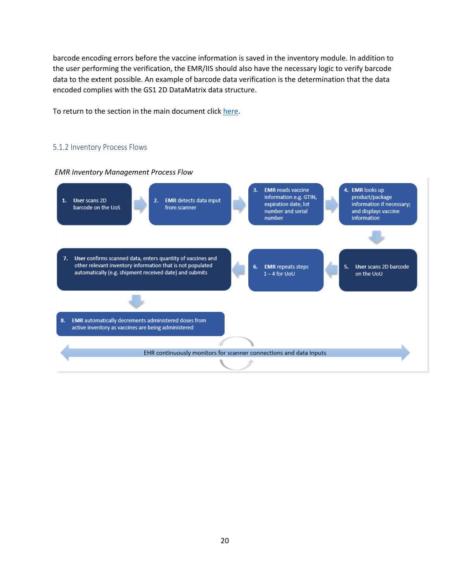barcode encoding errors before the vaccine information is saved in the inventory module. In addition to the user performing the verification, the EMR/IIS should also have the necessary logic to verify barcode data to the extent possible. An example of barcode data verification is the determination that the data encoded complies with the GS1 2D DataMatrix data structure.

To return to the section in the main document clic[k here.](#page-18-4)

#### 5.1.2 Inventory Process Flows



<span id="page-19-0"></span>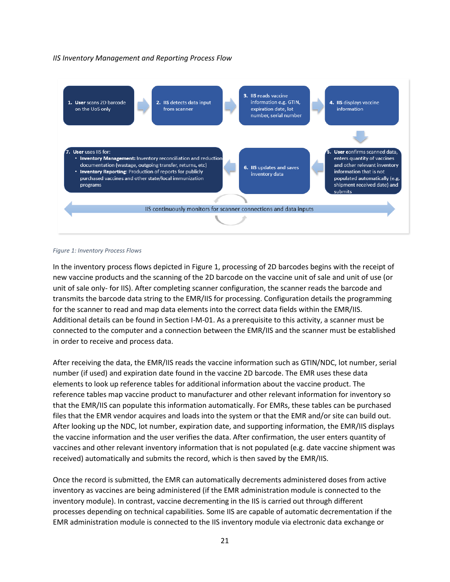#### *IIS Inventory Management and Reporting Process Flow*



#### *Figure 1: Inventory Process Flows*

In the inventory process flows depicted in Figure 1, processing of 2D barcodes begins with the receipt of new vaccine products and the scanning of the 2D barcode on the vaccine unit of sale and unit of use (or unit of sale only- for IIS). After completing scanner configuration, the scanner reads the barcode and transmits the barcode data string to the EMR/IIS for processing. Configuration details the programming for the scanner to read and map data elements into the correct data fields within the EMR/IIS. Additional details can be found in Section I-M-01. As a prerequisite to this activity, a scanner must be connected to the computer and a connection between the EMR/IIS and the scanner must be established in order to receive and process data.

After receiving the data, the EMR/IIS reads the vaccine information such as GTIN/NDC, lot number, serial number (if used) and expiration date found in the vaccine 2D barcode. The EMR uses these data elements to look up reference tables for additional information about the vaccine product. The reference tables map vaccine product to manufacturer and other relevant information for inventory so that the EMR/IIS can populate this information automatically. For EMRs, these tables can be purchased files that the EMR vendor acquires and loads into the system or that the EMR and/or site can build out. After looking up the NDC, lot number, expiration date, and supporting information, the EMR/IIS displays the vaccine information and the user verifies the data. After confirmation, the user enters quantity of vaccines and other relevant inventory information that is not populated (e.g. date vaccine shipment was received) automatically and submits the record, which is then saved by the EMR/IIS.

Once the record is submitted, the EMR can automatically decrements administered doses from active inventory as vaccines are being administered (if the EMR administration module is connected to the inventory module). In contrast, vaccine decrementing in the IIS is carried out through different processes depending on technical capabilities. Some IIS are capable of automatic decrementation if the EMR administration module is connected to the IIS inventory module via electronic data exchange or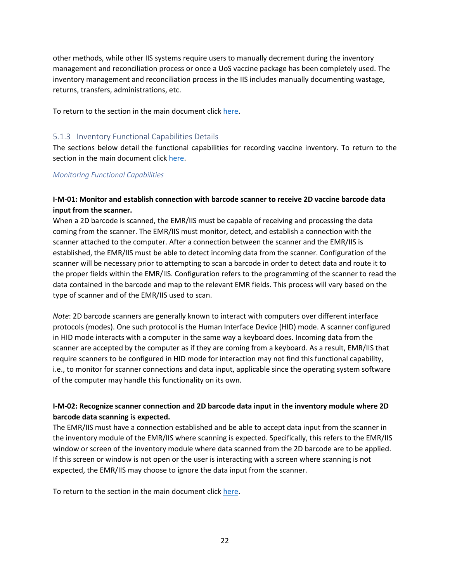other methods, while other IIS systems require users to manually decrement during the inventory management and reconciliation process or once a UoS vaccine package has been completely used. The inventory management and reconciliation process in the IIS includes manually documenting wastage, returns, transfers, administrations, etc.

To return to the section in the main document clic[k here.](#page-18-4)

#### <span id="page-21-3"></span>5.1.3 Inventory Functional Capabilities Details

The sections below detail the functional capabilities for recording vaccine inventory. To return to the section in the main document click [here.](#page-21-3)

#### <span id="page-21-4"></span><span id="page-21-0"></span>*Monitoring Functional Capabilities*

#### **I-M-01: Monitor and establish connection with barcode scanner to receive 2D vaccine barcode data input from the scanner.**

<span id="page-21-1"></span>When a 2D barcode is scanned, the EMR/IIS must be capable of receiving and processing the data coming from the scanner. The EMR/IIS must monitor, detect, and establish a connection with the scanner attached to the computer. After a connection between the scanner and the EMR/IIS is established, the EMR/IIS must be able to detect incoming data from the scanner. Configuration of the scanner will be necessary prior to attempting to scan a barcode in order to detect data and route it to the proper fields within the EMR/IIS. Configuration refers to the programming of the scanner to read the data contained in the barcode and map to the relevant EMR fields. This process will vary based on the type of scanner and of the EMR/IIS used to scan.

*Note*: 2D barcode scanners are generally known to interact with computers over different interface protocols (modes). One such protocol is the Human Interface Device (HID) mode. A scanner configured in HID mode interacts with a computer in the same way a keyboard does. Incoming data from the scanner are accepted by the computer as if they are coming from a keyboard. As a result, EMR/IIS that require scanners to be configured in HID mode for interaction may not find this functional capability, i.e., to monitor for scanner connections and data input, applicable since the operating system software of the computer may handle this functionality on its own.

### **I-M-02: Recognize scanner connection and 2D barcode data input in the inventory module where 2D barcode data scanning is expected.**

<span id="page-21-2"></span>The EMR/IIS must have a connection established and be able to accept data input from the scanner in the inventory module of the EMR/IIS where scanning is expected. Specifically, this refers to the EMR/IIS window or screen of the inventory module where data scanned from the 2D barcode are to be applied. If this screen or window is not open or the user is interacting with a screen where scanning is not expected, the EMR/IIS may choose to ignore the data input from the scanner.

To return to the section in the main document clic[k here.](#page-21-3)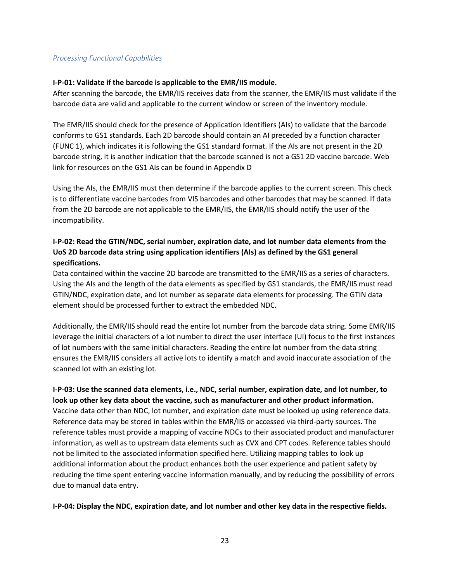#### *Processing Functional Capabilities*

#### **I-P-01: Validate if the barcode is applicable to the EMR/IIS module.**

<span id="page-22-0"></span>After scanning the barcode, the EMR/IIS receives data from the scanner, the EMR/IIS must validate if the barcode data are valid and applicable to the current window or screen of the inventory module.

The EMR/IIS should check for the presence of Application Identifiers (AIs) to validate that the barcode conforms to GS1 standards. Each 2D barcode should contain an AI preceded by a function character (FUNC 1), which indicates it is following the GS1 standard format. If the AIs are not present in the 2D barcode string, it is another indication that the barcode scanned is not a GS1 2D vaccine barcode. Web link for resources on the GS1 AIs can be found in Appendix D

Using the AIs, the EMR/IIS must then determine if the barcode applies to the current screen. This check is to differentiate vaccine barcodes from VIS barcodes and other barcodes that may be scanned. If data from the 2D barcode are not applicable to the EMR/IIS, the EMR/IIS should notify the user of the incompatibility.

### **I-P-02: Read the GTIN/NDC, serial number, expiration date, and lot number data elements from the UoS 2D barcode data string using application identifiers (AIs) as defined by the GS1 general specifications.**

<span id="page-22-1"></span>Data contained within the vaccine 2D barcode are transmitted to the EMR/IIS as a series of characters. Using the AIs and the length of the data elements as specified by GS1 standards, the EMR/IIS must read GTIN/NDC, expiration date, and lot number as separate data elements for processing. The GTIN data element should be processed further to extract the embedded NDC.

Additionally, the EMR/IIS should read the entire lot number from the barcode data string. Some EMR/IIS leverage the initial characters of a lot number to direct the user interface (UI) focus to the first instances of lot numbers with the same initial characters. Reading the entire lot number from the data string ensures the EMR/IIS considers all active lots to identify a match and avoid inaccurate association of the scanned lot with an existing lot.

<span id="page-22-2"></span>**I-P-03: Use the scanned data elements, i.e., NDC, serial number, expiration date, and lot number, to look up other key data about the vaccine, such as manufacturer and other product information.** Vaccine data other than NDC, lot number, and expiration date must be looked up using reference data. Reference data may be stored in tables within the EMR/IIS or accessed via third-party sources. The reference tables must provide a mapping of vaccine NDCs to their associated product and manufacturer information, as well as to upstream data elements such as CVX and CPT codes. Reference tables should not be limited to the associated information specified here. Utilizing mapping tables to look up additional information about the product enhances both the user experience and patient safety by reducing the time spent entering vaccine information manually, and by reducing the possibility of errors due to manual data entry.

<span id="page-22-3"></span>**I-P-04: Display the NDC, expiration date, and lot number and other key data in the respective fields.**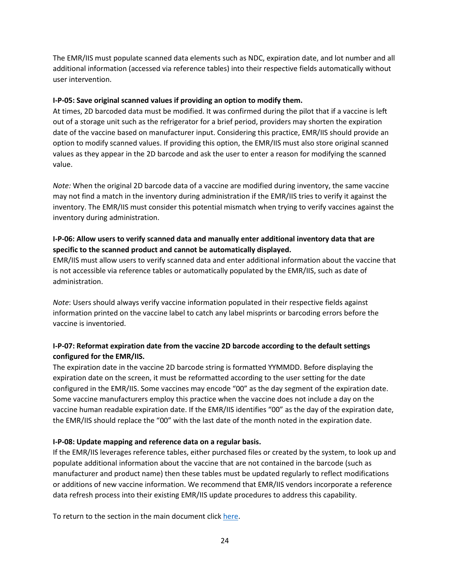The EMR/IIS must populate scanned data elements such as NDC, expiration date, and lot number and all additional information (accessed via reference tables) into their respective fields automatically without user intervention.

#### **I-P-05: Save original scanned values if providing an option to modify them.**

<span id="page-23-0"></span>At times, 2D barcoded data must be modified. It was confirmed during the pilot that if a vaccine is left out of a storage unit such as the refrigerator for a brief period, providers may shorten the expiration date of the vaccine based on manufacturer input. Considering this practice, EMR/IIS should provide an option to modify scanned values. If providing this option, the EMR/IIS must also store original scanned values as they appear in the 2D barcode and ask the user to enter a reason for modifying the scanned value.

*Note:* When the original 2D barcode data of a vaccine are modified during inventory, the same vaccine may not find a match in the inventory during administration if the EMR/IIS tries to verify it against the inventory. The EMR/IIS must consider this potential mismatch when trying to verify vaccines against the inventory during administration.

### **I-P-06: Allow users to verify scanned data and manually enter additional inventory data that are specific to the scanned product and cannot be automatically displayed.**

<span id="page-23-1"></span>EMR/IIS must allow users to verify scanned data and enter additional information about the vaccine that is not accessible via reference tables or automatically populated by the EMR/IIS, such as date of administration.

*Note*: Users should always verify vaccine information populated in their respective fields against information printed on the vaccine label to catch any label misprints or barcoding errors before the vaccine is inventoried.

# **I-P-07: Reformat expiration date from the vaccine 2D barcode according to the default settings configured for the EMR/IIS.**

<span id="page-23-2"></span>The expiration date in the vaccine 2D barcode string is formatted YYMMDD. Before displaying the expiration date on the screen, it must be reformatted according to the user setting for the date configured in the EMR/IIS. Some vaccines may encode "00" as the day segment of the expiration date. Some vaccine manufacturers employ this practice when the vaccine does not include a day on the vaccine human readable expiration date. If the EMR/IIS identifies "00" as the day of the expiration date, the EMR/IIS should replace the "00" with the last date of the month noted in the expiration date.

#### **I-P-08: Update mapping and reference data on a regular basis.**

<span id="page-23-3"></span>If the EMR/IIS leverages reference tables, either purchased files or created by the system, to look up and populate additional information about the vaccine that are not contained in the barcode (such as manufacturer and product name) then these tables must be updated regularly to reflect modifications or additions of new vaccine information. We recommend that EMR/IIS vendors incorporate a reference data refresh process into their existing EMR/IIS update procedures to address this capability.

To return to the section in the main document clic[k here.](#page-21-3)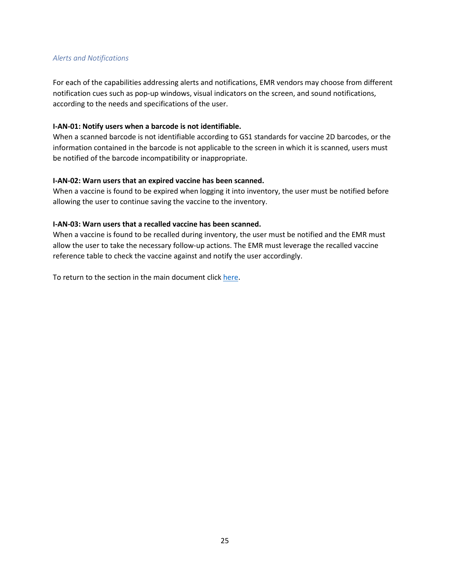#### *Alerts and Notifications*

For each of the capabilities addressing alerts and notifications, EMR vendors may choose from different notification cues such as pop-up windows, visual indicators on the screen, and sound notifications, according to the needs and specifications of the user.

#### **I-AN-01: Notify users when a barcode is not identifiable.**

When a scanned barcode is not identifiable according to GS1 standards for vaccine 2D barcodes, or the information contained in the barcode is not applicable to the screen in which it is scanned, users must be notified of the barcode incompatibility or inappropriate.

#### <span id="page-24-0"></span>**I-AN-02: Warn users that an expired vaccine has been scanned.**

When a vaccine is found to be expired when logging it into inventory, the user must be notified before allowing the user to continue saving the vaccine to the inventory.

#### <span id="page-24-1"></span>**I-AN-03: Warn users that a recalled vaccine has been scanned.**

When a vaccine is found to be recalled during inventory, the user must be notified and the EMR must allow the user to take the necessary follow-up actions. The EMR must leverage the recalled vaccine reference table to check the vaccine against and notify the user accordingly.

<span id="page-24-2"></span>To return to the section in the main document clic[k here.](#page-21-3)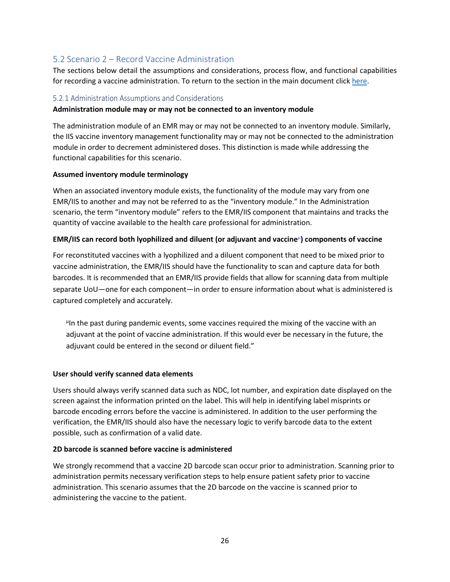# 5.2 Scenario 2 – Record Vaccine Administration

The sections below detail the assumptions and considerations, process flow, and functional capabilities for recording a vaccine administration. To return to the section in the main document click [here.](#page-24-2)

#### <span id="page-25-0"></span>5.2.1 Administration Assumptions and Considerations

#### **Administration module may or may not be connected to an inventory module**

<span id="page-25-1"></span>The administration module of an EMR may or may not be connected to an inventory module. Similarly, the IIS vaccine inventory management functionality may or may not be connected to the administration module in order to decrement administered doses. This distinction is made while addressing the functional capabilities for this scenario.

#### **Assumed inventory module terminology**

When an associated inventory module exists, the functionality of the module may vary from one EMR/IIS to another and may not be referred to as the "inventory module." In the Administration scenario, the term "inventory module" refers to the EMR/IIS component that maintains and tracks the quantity of vaccine available to the health care professional for administration.

#### **EMR/IIS can record both lyophilized and diluent (or adjuvant and vaccine**<sup>µ</sup> **) components of vaccine**

For reconstituted vaccines with a lyophilized and a diluent component that need to be mixed prior to vaccine administration, the EMR/IIS should have the functionality to scan and capture data for both barcodes. It is recommended that an EMR/IIS provide fields that allow for scanning data from multiple separate UoU—one for each component—in order to ensure information about what is administered is captured completely and accurately.

µ In the past during pandemic events, some vaccines required the mixing of the vaccine with an adjuvant at the point of vaccine administration. If this would ever be necessary in the future, the adjuvant could be entered in the second or diluent field."

#### **User should verify scanned data elements**

Users should always verify scanned data such as NDC, lot number, and expiration date displayed on the screen against the information printed on the label. This will help in identifying label misprints or barcode encoding errors before the vaccine is administered. In addition to the user performing the verification, the EMR/IIS should also have the necessary logic to verify barcode data to the extent possible, such as confirmation of a valid date.

#### **2D barcode is scanned before vaccine is administered**

We strongly recommend that a vaccine 2D barcode scan occur prior to administration. Scanning prior to administration permits necessary verification steps to help ensure patient safety prior to vaccine administration. This scenario assumes that the 2D barcode on the vaccine is scanned prior to administering the vaccine to the patient.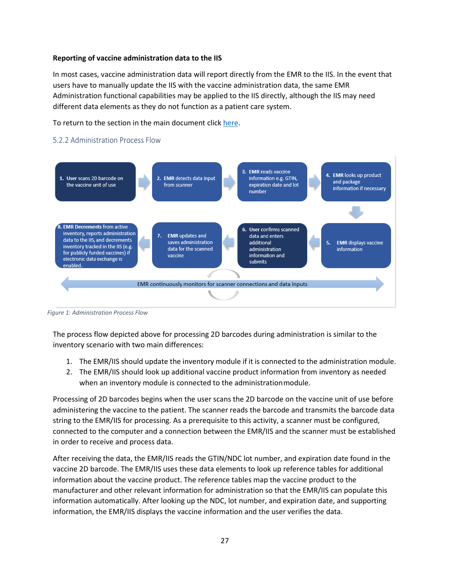#### **Reporting of vaccine administration data to the IIS**

In most cases, vaccine administration data will report directly from the EMR to the IIS. In the event that users have to manually update the IIS with the vaccine administration data, the same EMR Administration functional capabilities may be applied to the IIS directly, although the IIS may need different data elements as they do not function as a patient care system.

To return to the section in the main document clic[k here.](#page-24-2)

#### 5.2.2 Administration Process Flow

<span id="page-26-0"></span>

*Figure 1: Administration Process Flow*

The process flow depicted above for processing 2D barcodes during administration is similar to the inventory scenario with two main differences:

- 1. The EMR/IIS should update the inventory module if it is connected to the administration module.
- 2. The EMR/IIS should look up additional vaccine product information from inventory as needed when an inventory module is connected to the administrationmodule.

Processing of 2D barcodes begins when the user scans the 2D barcode on the vaccine unit of use before administering the vaccine to the patient. The scanner reads the barcode and transmits the barcode data string to the EMR/IIS for processing. As a prerequisite to this activity, a scanner must be configured, connected to the computer and a connection between the EMR/IIS and the scanner must be established in order to receive and process data.

After receiving the data, the EMR/IIS reads the GTIN/NDC lot number, and expiration date found in the vaccine 2D barcode. The EMR/IIS uses these data elements to look up reference tables for additional information about the vaccine product. The reference tables map the vaccine product to the manufacturer and other relevant information for administration so that the EMR/IIS can populate this information automatically. After looking up the NDC, lot number, and expiration date, and supporting information, the EMR/IIS displays the vaccine information and the user verifies the data.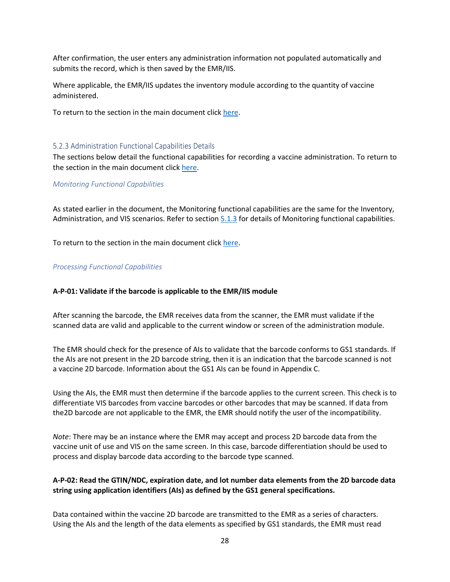After confirmation, the user enters any administration information not populated automatically and submits the record, which is then saved by the EMR/IIS.

Where applicable, the EMR/IIS updates the inventory module according to the quantity of vaccine administered.

To return to the section in the main document clic[k here.](#page-24-2)

#### 5.2.3 Administration Functional Capabilities Details

The sections below detail the functional capabilities for recording a vaccine administration. To return to the section in the main document click [here.](#page-13-1)

#### <span id="page-27-0"></span>*Monitoring Functional Capabilities*

<span id="page-27-1"></span>As stated earlier in the document, the Monitoring functional capabilities are the same for the Inventory, Administration, and VIS scenarios. Refer to section [5.1.3](#page-21-4) for details of Monitoring functional capabilities.

To return to the section in the main document clic[k here.](#page-24-2)

#### *Processing Functional Capabilities*

#### **A-P-01: Validate if the barcode is applicable to the EMR/IIS module**

<span id="page-27-2"></span>After scanning the barcode, the EMR receives data from the scanner, the EMR must validate if the scanned data are valid and applicable to the current window or screen of the administration module.

The EMR should check for the presence of AIs to validate that the barcode conforms to GS1 standards. If the AIs are not present in the 2D barcode string, then it is an indication that the barcode scanned is not a vaccine 2D barcode. Information about the GS1 AIs can be found in Appendix C.

Using the AIs, the EMR must then determine if the barcode applies to the current screen. This check is to differentiate VIS barcodes from vaccine barcodes or other barcodes that may be scanned. If data from the2D barcode are not applicable to the EMR, the EMR should notify the user of the incompatibility.

*Note*: There may be an instance where the EMR may accept and process 2D barcode data from the vaccine unit of use and VIS on the same screen. In this case, barcode differentiation should be used to process and display barcode data according to the barcode type scanned.

#### **A-P-02: Read the GTIN/NDC, expiration date, and lot number data elements from the 2D barcode data string using application identifiers (AIs) as defined by the GS1 general specifications.**

<span id="page-27-3"></span>Data contained within the vaccine 2D barcode are transmitted to the EMR as a series of characters. Using the AIs and the length of the data elements as specified by GS1 standards, the EMR must read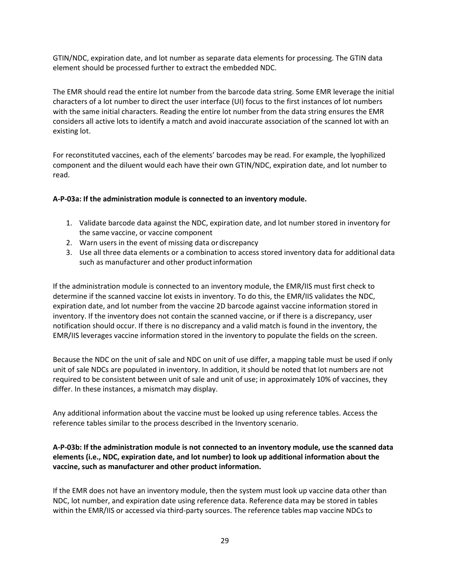GTIN/NDC, expiration date, and lot number as separate data elements for processing. The GTIN data element should be processed further to extract the embedded NDC.

The EMR should read the entire lot number from the barcode data string. Some EMR leverage the initial characters of a lot number to direct the user interface (UI) focus to the first instances of lot numbers with the same initial characters. Reading the entire lot number from the data string ensures the EMR considers all active lots to identify a match and avoid inaccurate association of the scanned lot with an existing lot.

<span id="page-28-0"></span>For reconstituted vaccines, each of the elements' barcodes may be read. For example, the lyophilized component and the diluent would each have their own GTIN/NDC, expiration date, and lot number to read.

#### **A-P-03a: If the administration module is connected to an inventory module.**

- 1. Validate barcode data against the NDC, expiration date, and lot number stored in inventory for the same vaccine, or vaccine component
- 2. Warn users in the event of missing data or discrepancy
- 3. Use all three data elements or a combination to access stored inventory data for additional data such as manufacturer and other product information

If the administration module is connected to an inventory module, the EMR/IIS must first check to determine if the scanned vaccine lot exists in inventory. To do this, the EMR/IIS validates the NDC, expiration date, and lot number from the vaccine 2D barcode against vaccine information stored in inventory. If the inventory does not contain the scanned vaccine, or if there is a discrepancy, user notification should occur. If there is no discrepancy and a valid match is found in the inventory, the EMR/IIS leverages vaccine information stored in the inventory to populate the fields on the screen.

Because the NDC on the unit of sale and NDC on unit of use differ, a mapping table must be used if only unit of sale NDCs are populated in inventory. In addition, it should be noted that lot numbers are not required to be consistent between unit of sale and unit of use; in approximately 10% of vaccines, they differ. In these instances, a mismatch may display.

Any additional information about the vaccine must be looked up using reference tables. Access the reference tables similar to the process described in the Inventory scenario.

#### **A-P-03b: If the administration module is not connected to an inventory module, use the scanned data elements (i.e., NDC, expiration date, and lot number) to look up additional information about the vaccine, such as manufacturer and other product information.**

<span id="page-28-1"></span>If the EMR does not have an inventory module, then the system must look up vaccine data other than NDC, lot number, and expiration date using reference data. Reference data may be stored in tables within the EMR/IIS or accessed via third-party sources. The reference tables map vaccine NDCs to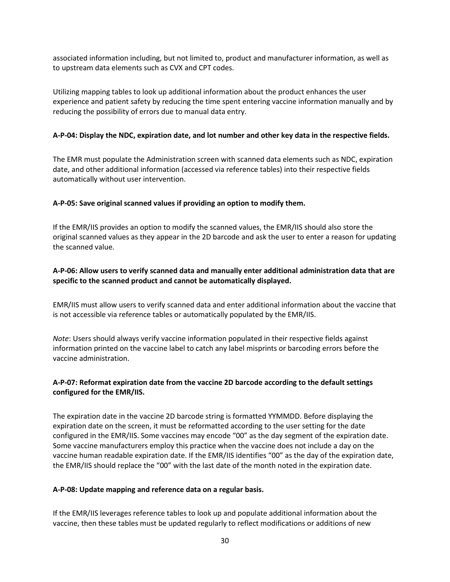associated information including, but not limited to, product and manufacturer information, as well as to upstream data elements such as CVX and CPT codes.

Utilizing mapping tables to look up additional information about the product enhances the user experience and patient safety by reducing the time spent entering vaccine information manually and by reducing the possibility of errors due to manual data entry.

#### **A-P-04: Display the NDC, expiration date, and lot number and other key data in the respective fields.**

<span id="page-29-0"></span>The EMR must populate the Administration screen with scanned data elements such as NDC, expiration date, and other additional information (accessed via reference tables) into their respective fields automatically without user intervention.

#### **A-P-05: Save original scanned values if providing an option to modify them.**

<span id="page-29-1"></span>If the EMR/IIS provides an option to modify the scanned values, the EMR/IIS should also store the original scanned values as they appear in the 2D barcode and ask the user to enter a reason for updating the scanned value.

#### **A-P-06: Allow users to verify scanned data and manually enter additional administration data that are specific to the scanned product and cannot be automatically displayed.**

<span id="page-29-2"></span>EMR/IIS must allow users to verify scanned data and enter additional information about the vaccine that is not accessible via reference tables or automatically populated by the EMR/IIS.

*Note*: Users should always verify vaccine information populated in their respective fields against information printed on the vaccine label to catch any label misprints or barcoding errors before the vaccine administration.

#### **A-P-07: Reformat expiration date from the vaccine 2D barcode according to the default settings configured for the EMR/IIS.**

<span id="page-29-3"></span>The expiration date in the vaccine 2D barcode string is formatted YYMMDD. Before displaying the expiration date on the screen, it must be reformatted according to the user setting for the date configured in the EMR/IIS. Some vaccines may encode "00" as the day segment of the expiration date. Some vaccine manufacturers employ this practice when the vaccine does not include a day on the vaccine human readable expiration date. If the EMR/IIS identifies "00" as the day of the expiration date, the EMR/IIS should replace the "00" with the last date of the month noted in the expiration date.

#### **A-P-08: Update mapping and reference data on a regular basis.**

<span id="page-29-4"></span>If the EMR/IIS leverages reference tables to look up and populate additional information about the vaccine, then these tables must be updated regularly to reflect modifications or additions of new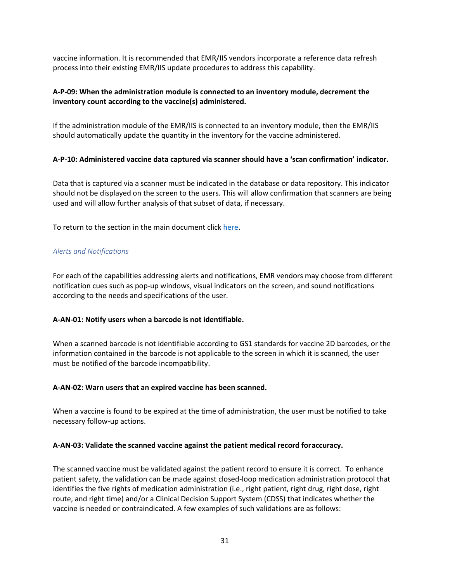vaccine information. It is recommended that EMR/IIS vendors incorporate a reference data refresh process into their existing EMR/IIS update procedures to address this capability.

#### **A-P-09: When the administration module is connected to an inventory module, decrement the inventory count according to the vaccine(s) administered.**

<span id="page-30-0"></span>If the administration module of the EMR/IIS is connected to an inventory module, then the EMR/IIS should automatically update the quantity in the inventory for the vaccine administered.

#### **A-P-10: Administered vaccine data captured via scanner should have a 'scan confirmation' indicator.**

<span id="page-30-1"></span>Data that is captured via a scanner must be indicated in the database or data repository. This indicator should not be displayed on the screen to the users. This will allow confirmation that scanners are being used and will allow further analysis of that subset of data, if necessary.

To return to the section in the main document clic[k here.](#page-24-2)

#### *Alerts and Notifications*

For each of the capabilities addressing alerts and notifications, EMR vendors may choose from different notification cues such as pop-up windows, visual indicators on the screen, and sound notifications according to the needs and specifications of the user.

#### **A-AN-01: Notify users when a barcode is not identifiable.**

<span id="page-30-2"></span>When a scanned barcode is not identifiable according to GS1 standards for vaccine 2D barcodes, or the information contained in the barcode is not applicable to the screen in which it is scanned, the user must be notified of the barcode incompatibility.

#### **A-AN-02: Warn users that an expired vaccine has been scanned.**

<span id="page-30-3"></span>When a vaccine is found to be expired at the time of administration, the user must be notified to take necessary follow-up actions.

#### **A-AN-03: Validate the scanned vaccine against the patient medical record foraccuracy.**

<span id="page-30-4"></span>The scanned vaccine must be validated against the patient record to ensure it is correct. To enhance patient safety, the validation can be made against closed-loop medication administration protocol that identifies the five rights of medication administration (i.e., right patient, right drug, right dose, right route, and right time) and/or a Clinical Decision Support System (CDSS) that indicates whether the vaccine is needed or contraindicated. A few examples of such validations are as follows: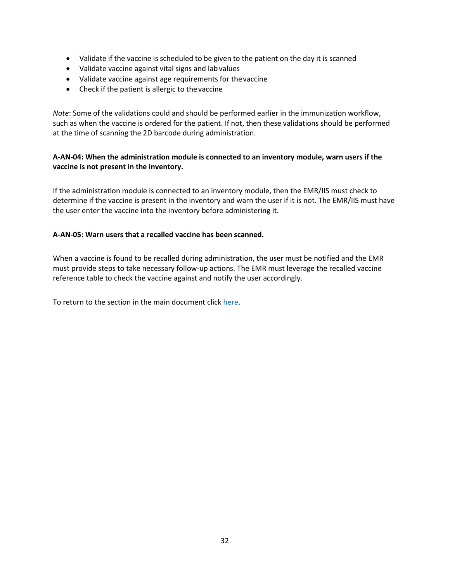- Validate if the vaccine is scheduled to be given to the patient on the day it is scanned
- Validate vaccine against vital signs and lab values
- Validate vaccine against age requirements for thevaccine
- Check if the patient is allergic to thevaccine

*Note*: Some of the validations could and should be performed earlier in the immunization workflow, such as when the vaccine is ordered for the patient. If not, then these validations should be performed at the time of scanning the 2D barcode during administration.

#### **A-AN-04: When the administration module is connected to an inventory module, warn users if the vaccine is not present in the inventory.**

<span id="page-31-1"></span>If the administration module is connected to an inventory module, then the EMR/IIS must check to determine if the vaccine is present in the inventory and warn the user if it is not. The EMR/IIS must have the user enter the vaccine into the inventory before administering it.

#### **A-AN-05: Warn users that a recalled vaccine has been scanned.**

<span id="page-31-2"></span>When a vaccine is found to be recalled during administration, the user must be notified and the EMR must provide steps to take necessary follow-up actions. The EMR must leverage the recalled vaccine reference table to check the vaccine against and notify the user accordingly.

<span id="page-31-3"></span><span id="page-31-0"></span>To return to the section in the main document clic[k here.](#page-24-2)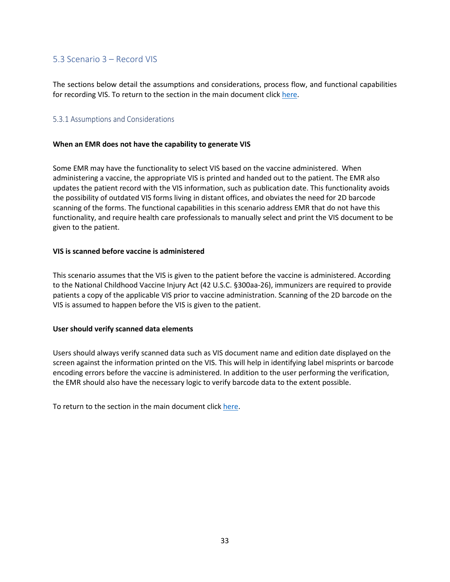### 5.3 Scenario 3 – Record VIS

<span id="page-32-0"></span>The sections below detail the assumptions and considerations, process flow, and functional capabilities for recording VIS. To return to the section in the main document click [here.](#page-15-0)

#### 5.3.1 Assumptions and Considerations

#### <span id="page-32-1"></span>**When an EMR does not have the capability to generate VIS**

Some EMR may have the functionality to select VIS based on the vaccine administered. When administering a vaccine, the appropriate VIS is printed and handed out to the patient. The EMR also updates the patient record with the VIS information, such as publication date. This functionality avoids the possibility of outdated VIS forms living in distant offices, and obviates the need for 2D barcode scanning of the forms. The functional capabilities in this scenario address EMR that do not have this functionality, and require health care professionals to manually select and print the VIS document to be given to the patient.

#### **VIS is scanned before vaccine is administered**

This scenario assumes that the VIS is given to the patient before the vaccine is administered. According to the National Childhood Vaccine Injury Act (42 U.S.C. §300aa-26), immunizers are required to provide patients a copy of the applicable VIS prior to vaccine administration. Scanning of the 2D barcode on the VIS is assumed to happen before the VIS is given to the patient.

#### **User should verify scanned data elements**

Users should always verify scanned data such as VIS document name and edition date displayed on the screen against the information printed on the VIS. This will help in identifying label misprints or barcode encoding errors before the vaccine is administered. In addition to the user performing the verification, the EMR should also have the necessary logic to verify barcode data to the extent possible.

To return to the section in the main document clic[k here.](#page-15-0)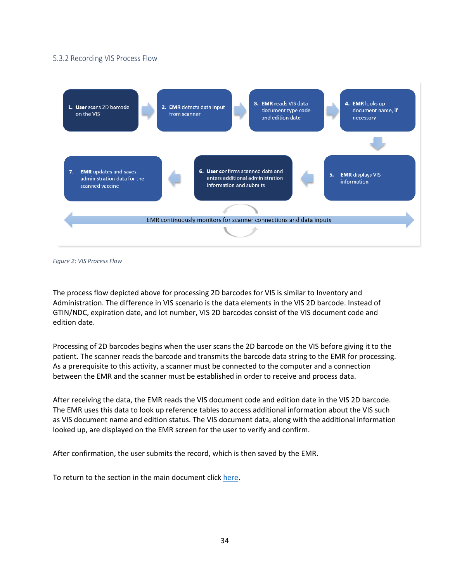#### 5.3.2 Recording VIS Process Flow

<span id="page-33-0"></span>

*Figure 2: VIS Process Flow*

The process flow depicted above for processing 2D barcodes for VIS is similar to Inventory and Administration. The difference in VIS scenario is the data elements in the VIS 2D barcode. Instead of GTIN/NDC, expiration date, and lot number, VIS 2D barcodes consist of the VIS document code and edition date.

Processing of 2D barcodes begins when the user scans the 2D barcode on the VIS before giving it to the patient. The scanner reads the barcode and transmits the barcode data string to the EMR for processing. As a prerequisite to this activity, a scanner must be connected to the computer and a connection between the EMR and the scanner must be established in order to receive and process data.

After receiving the data, the EMR reads the VIS document code and edition date in the VIS 2D barcode. The EMR uses this data to look up reference tables to access additional information about the VIS such as VIS document name and edition status. The VIS document data, along with the additional information looked up, are displayed on the EMR screen for the user to verify and confirm.

After confirmation, the user submits the record, which is then saved by the EMR.

To return to the section in the main document clic[k here.](#page-15-0)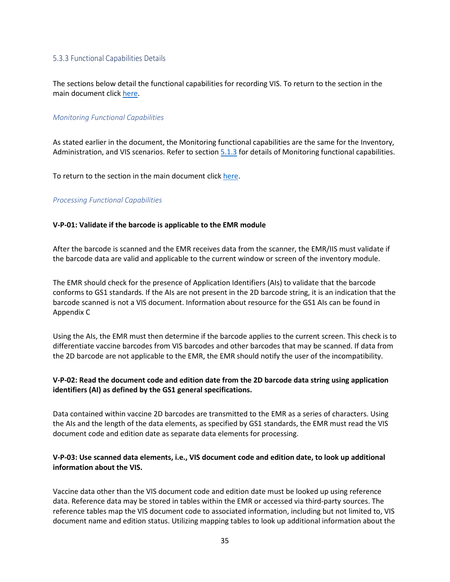#### 5.3.3 Functional Capabilities Details

<span id="page-34-0"></span>The sections below detail the functional capabilities for recording VIS. To return to the section in the main document click [here.](#page-31-3)

#### *Monitoring Functional Capabilities*

<span id="page-34-1"></span>As stated earlier in the document, the Monitoring functional capabilities are the same for the Inventory, Administration, and VIS scenarios. Refer to section [5.1.3](#page-21-4) for details of Monitoring functional capabilities.

To return to the section in the main document clic[k here.](#page-15-0)

#### *Processing Functional Capabilities*

#### **V-P-01: Validate if the barcode is applicable to the EMR module**

<span id="page-34-2"></span>After the barcode is scanned and the EMR receives data from the scanner, the EMR/IIS must validate if the barcode data are valid and applicable to the current window or screen of the inventory module.

The EMR should check for the presence of Application Identifiers (AIs) to validate that the barcode conforms to GS1 standards. If the AIs are not present in the 2D barcode string, it is an indication that the barcode scanned is not a VIS document. Information about resource for the GS1 AIs can be found in Appendix C

Using the AIs, the EMR must then determine if the barcode applies to the current screen. This check is to differentiate vaccine barcodes from VIS barcodes and other barcodes that may be scanned. If data from the 2D barcode are not applicable to the EMR, the EMR should notify the user of the incompatibility.

#### **V-P-02: Read the document code and edition date from the 2D barcode data string using application identifiers (AI) as defined by the GS1 general specifications.**

<span id="page-34-3"></span>Data contained within vaccine 2D barcodes are transmitted to the EMR as a series of characters. Using the AIs and the length of the data elements, as specified by GS1 standards, the EMR must read the VIS document code and edition date as separate data elements for processing.

#### **V-P-03: Use scanned data elements, i.e., VIS document code and edition date, to look up additional information about the VIS.**

<span id="page-34-4"></span>Vaccine data other than the VIS document code and edition date must be looked up using reference data. Reference data may be stored in tables within the EMR or accessed via third-party sources. The reference tables map the VIS document code to associated information, including but not limited to, VIS document name and edition status. Utilizing mapping tables to look up additional information about the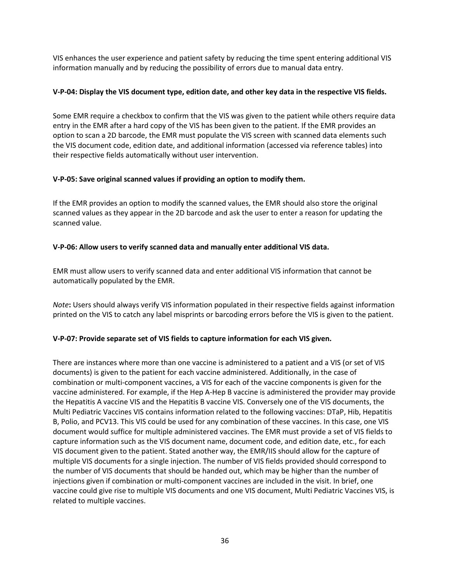VIS enhances the user experience and patient safety by reducing the time spent entering additional VIS information manually and by reducing the possibility of errors due to manual data entry.

#### **V-P-04: Display the VIS document type, edition date, and other key data in the respective VIS fields.**

<span id="page-35-0"></span>Some EMR require a checkbox to confirm that the VIS was given to the patient while others require data entry in the EMR after a hard copy of the VIS has been given to the patient. If the EMR provides an option to scan a 2D barcode, the EMR must populate the VIS screen with scanned data elements such the VIS document code, edition date, and additional information (accessed via reference tables) into their respective fields automatically without user intervention.

#### **V-P-05: Save original scanned values if providing an option to modify them.**

<span id="page-35-1"></span>If the EMR provides an option to modify the scanned values, the EMR should also store the original scanned values as they appear in the 2D barcode and ask the user to enter a reason for updating the scanned value.

#### **V-P-06: Allow users to verify scanned data and manually enter additional VIS data.**

<span id="page-35-2"></span>EMR must allow users to verify scanned data and enter additional VIS information that cannot be automatically populated by the EMR.

*Note***:** Users should always verify VIS information populated in their respective fields against information printed on the VIS to catch any label misprints or barcoding errors before the VIS is given to the patient.

#### **V-P-07: Provide separate set of VIS fields to capture information for each VIS given.**

<span id="page-35-3"></span>There are instances where more than one vaccine is administered to a patient and a VIS (or set of VIS documents) is given to the patient for each vaccine administered. Additionally, in the case of combination or multi-component vaccines, a VIS for each of the vaccine components is given for the vaccine administered. For example, if the Hep A-Hep B vaccine is administered the provider may provide the Hepatitis A vaccine VIS and the Hepatitis B vaccine VIS. Conversely one of the VIS documents, the Multi Pediatric Vaccines VIS contains information related to the following vaccines: DTaP, Hib, Hepatitis B, Polio, and PCV13. This VIS could be used for any combination of these vaccines. In this case, one VIS document would suffice for multiple administered vaccines. The EMR must provide a set of VIS fields to capture information such as the VIS document name, document code, and edition date, etc., for each VIS document given to the patient. Stated another way, the EMR/IIS should allow for the capture of multiple VIS documents for a single injection. The number of VIS fields provided should correspond to the number of VIS documents that should be handed out, which may be higher than the number of injections given if combination or multi-component vaccines are included in the visit. In brief, one vaccine could give rise to multiple VIS documents and one VIS document, Multi Pediatric Vaccines VIS, is related to multiple vaccines.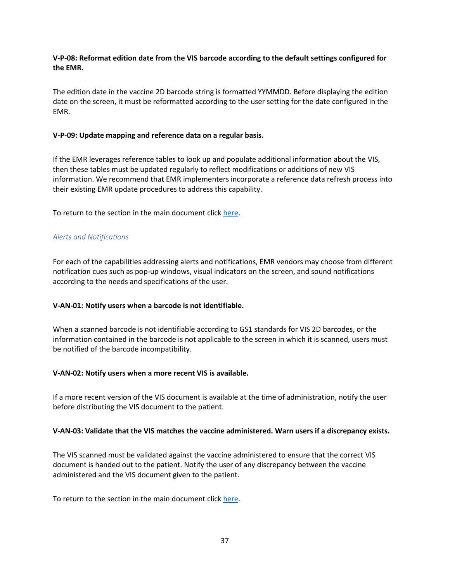#### **V-P-08: Reformat edition date from the VIS barcode according to the default settings configured for the EMR.**

<span id="page-36-0"></span>The edition date in the vaccine 2D barcode string is formatted YYMMDD. Before displaying the edition date on the screen, it must be reformatted according to the user setting for the date configured in the EMR.

#### **V-P-09: Update mapping and reference data on a regular basis.**

<span id="page-36-1"></span>If the EMR leverages reference tables to look up and populate additional information about the VIS, then these tables must be updated regularly to reflect modifications or additions of new VIS information. We recommend that EMR implementers incorporate a reference data refresh process into their existing EMR update procedures to address this capability.

To return to the section in the main document clic[k here.](#page-15-0)

#### *Alerts and Notifications*

For each of the capabilities addressing alerts and notifications, EMR vendors may choose from different notification cues such as pop-up windows, visual indicators on the screen, and sound notifications according to the needs and specifications of the user.

#### **V-AN-01: Notify users when a barcode is not identifiable.**

<span id="page-36-2"></span>When a scanned barcode is not identifiable according to GS1 standards for VIS 2D barcodes, or the information contained in the barcode is not applicable to the screen in which it is scanned, users must be notified of the barcode incompatibility.

#### **V-AN-02: Notify users when a more recent VIS is available.**

<span id="page-36-3"></span>If a more recent version of the VIS document is available at the time of administration, notify the user before distributing the VIS document to the patient.

#### **V-AN-03: Validate that the VIS matches the vaccine administered. Warn users if a discrepancy exists.**

<span id="page-36-4"></span>The VIS scanned must be validated against the vaccine administered to ensure that the correct VIS document is handed out to the patient. Notify the user of any discrepancy between the vaccine administered and the VIS document given to the patient.

To return to the section in the main document clic[k here.](#page-15-0)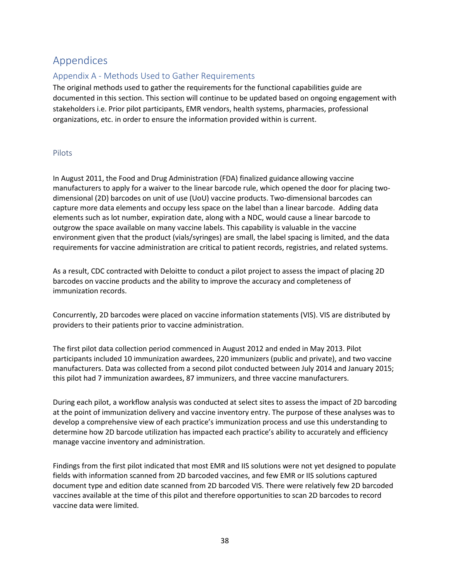# Appendices

# Appendix A - Methods Used to Gather Requirements

<span id="page-37-1"></span><span id="page-37-0"></span>The original methods used to gather the requirements for the functional capabilities guide are documented in this section. This section will continue to be updated based on ongoing engagement with stakeholders i.e. Prior pilot participants, EMR vendors, health systems, pharmacies, professional organizations, etc. in order to ensure the information provided within is current.

#### Pilots

<span id="page-37-2"></span>In August 2011, the Food and Drug Administration (FDA) finalized guidance allowing vaccine manufacturers to apply for a waiver to the linear barcode rule, which opened the door for placing twodimensional (2D) barcodes on unit of use (UoU) vaccine products. Two-dimensional barcodes can capture more data elements and occupy less space on the label than a linear barcode. Adding data elements such as lot number, expiration date, along with a NDC, would cause a linear barcode to outgrow the space available on many vaccine labels. This capability is valuable in the vaccine environment given that the product (vials/syringes) are small, the label spacing is limited, and the data requirements for vaccine administration are critical to patient records, registries, and related systems.

As a result, CDC contracted with Deloitte to conduct a pilot project to assess the impact of placing 2D barcodes on vaccine products and the ability to improve the accuracy and completeness of immunization records.

Concurrently, 2D barcodes were placed on vaccine information statements (VIS). VIS are distributed by providers to their patients prior to vaccine administration.

The first pilot data collection period commenced in August 2012 and ended in May 2013. Pilot participants included 10 immunization awardees, 220 immunizers (public and private), and two vaccine manufacturers. Data was collected from a second pilot conducted between July 2014 and January 2015; this pilot had 7 immunization awardees, 87 immunizers, and three vaccine manufacturers.

During each pilot, a workflow analysis was conducted at select sites to assess the impact of 2D barcoding at the point of immunization delivery and vaccine inventory entry. The purpose of these analyses was to develop a comprehensive view of each practice's immunization process and use this understanding to determine how 2D barcode utilization has impacted each practice's ability to accurately and efficiency manage vaccine inventory and administration.

Findings from the first pilot indicated that most EMR and IIS solutions were not yet designed to populate fields with information scanned from 2D barcoded vaccines, and few EMR or IIS solutions captured document type and edition date scanned from 2D barcoded VIS. There were relatively few 2D barcoded vaccines available at the time of this pilot and therefore opportunities to scan 2D barcodes to record vaccine data were limited.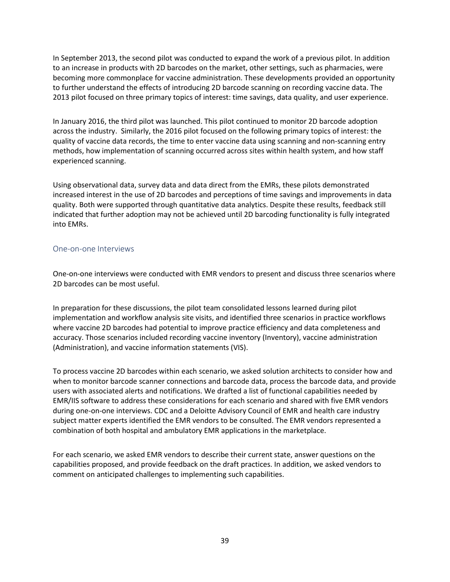In September 2013, the second pilot was conducted to expand the work of a previous pilot. In addition to an increase in products with 2D barcodes on the market, other settings, such as pharmacies, were becoming more commonplace for vaccine administration. These developments provided an opportunity to further understand the effects of introducing 2D barcode scanning on recording vaccine data. The 2013 pilot focused on three primary topics of interest: time savings, data quality, and user experience.

In January 2016, the third pilot was launched. This pilot continued to monitor 2D barcode adoption across the industry. Similarly, the 2016 pilot focused on the following primary topics of interest: the quality of vaccine data records, the time to enter vaccine data using scanning and non-scanning entry methods, how implementation of scanning occurred across sites within health system, and how staff experienced scanning.

Using observational data, survey data and data direct from the EMRs, these pilots demonstrated increased interest in the use of 2D barcodes and perceptions of time savings and improvements in data quality. Both were supported through quantitative data analytics. Despite these results, feedback still indicated that further adoption may not be achieved until 2D barcoding functionality is fully integrated into EMRs.

#### One-on-one Interviews

<span id="page-38-0"></span>One-on-one interviews were conducted with EMR vendors to present and discuss three scenarios where 2D barcodes can be most useful.

In preparation for these discussions, the pilot team consolidated lessons learned during pilot implementation and workflow analysis site visits, and identified three scenarios in practice workflows where vaccine 2D barcodes had potential to improve practice efficiency and data completeness and accuracy. Those scenarios included recording vaccine inventory (Inventory), vaccine administration (Administration), and vaccine information statements (VIS).

To process vaccine 2D barcodes within each scenario, we asked solution architects to consider how and when to monitor barcode scanner connections and barcode data, process the barcode data, and provide users with associated alerts and notifications. We drafted a list of functional capabilities needed by EMR/IIS software to address these considerations for each scenario and shared with five EMR vendors during one-on-one interviews. CDC and a Deloitte Advisory Council of EMR and health care industry subject matter experts identified the EMR vendors to be consulted. The EMR vendors represented a combination of both hospital and ambulatory EMR applications in the marketplace.

For each scenario, we asked EMR vendors to describe their current state, answer questions on the capabilities proposed, and provide feedback on the draft practices. In addition, we asked vendors to comment on anticipated challenges to implementing such capabilities.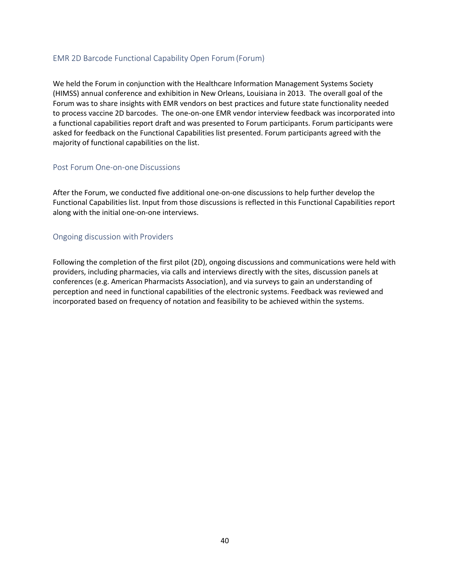#### EMR 2D Barcode Functional Capability Open Forum (Forum)

<span id="page-39-0"></span>We held the Forum in conjunction with the Healthcare Information Management Systems Society (HIMSS) annual conference and exhibition in New Orleans, Louisiana in 2013. The overall goal of the Forum was to share insights with EMR vendors on best practices and future state functionality needed to process vaccine 2D barcodes. The one-on-one EMR vendor interview feedback was incorporated into a functional capabilities report draft and was presented to Forum participants. Forum participants were asked for feedback on the Functional Capabilities list presented. Forum participants agreed with the majority of functional capabilities on the list.

#### Post Forum One-on-one Discussions

<span id="page-39-1"></span>After the Forum, we conducted five additional one-on-one discussions to help further develop the Functional Capabilities list. Input from those discussions is reflected in this Functional Capabilities report along with the initial one-on-one interviews.

#### Ongoing discussion with Providers

<span id="page-39-2"></span>Following the completion of the first pilot (2D), ongoing discussions and communications were held with providers, including pharmacies, via calls and interviews directly with the sites, discussion panels at conferences (e.g. American Pharmacists Association), and via surveys to gain an understanding of perception and need in functional capabilities of the electronic systems. Feedback was reviewed and incorporated based on frequency of notation and feasibility to be achieved within the systems.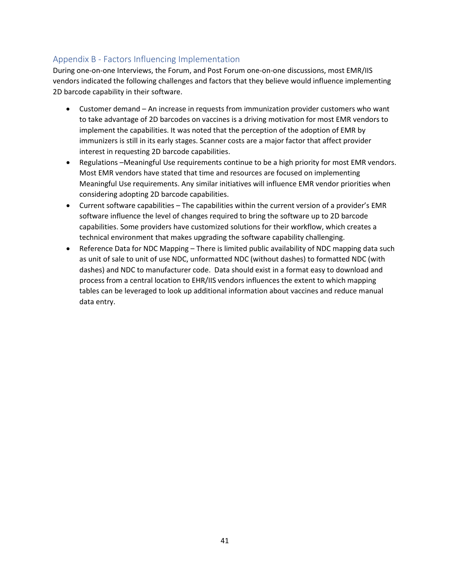# Appendix B - Factors Influencing Implementation

During one-on-one Interviews, the Forum, and Post Forum one-on-one discussions, most EMR/IIS vendors indicated the following challenges and factors that they believe would influence implementing 2D barcode capability in their software.

- <span id="page-40-0"></span>• Customer demand – An increase in requests from immunization provider customers who want to take advantage of 2D barcodes on vaccines is a driving motivation for most EMR vendors to implement the capabilities. It was noted that the perception of the adoption of EMR by immunizers is still in its early stages. Scanner costs are a major factor that affect provider interest in requesting 2D barcode capabilities.
- Regulations –Meaningful Use requirements continue to be a high priority for most EMR vendors. Most EMR vendors have stated that time and resources are focused on implementing Meaningful Use requirements. Any similar initiatives will influence EMR vendor priorities when considering adopting 2D barcode capabilities.
- Current software capabilities The capabilities within the current version of a provider's EMR software influence the level of changes required to bring the software up to 2D barcode capabilities. Some providers have customized solutions for their workflow, which creates a technical environment that makes upgrading the software capability challenging.
- Reference Data for NDC Mapping There is limited public availability of NDC mapping data such as unit of sale to unit of use NDC, unformatted NDC (without dashes) to formatted NDC (with dashes) and NDC to manufacturer code. Data should exist in a format easy to download and process from a central location to EHR/IIS vendors influences the extent to which mapping tables can be leveraged to look up additional information about vaccines and reduce manual data entry.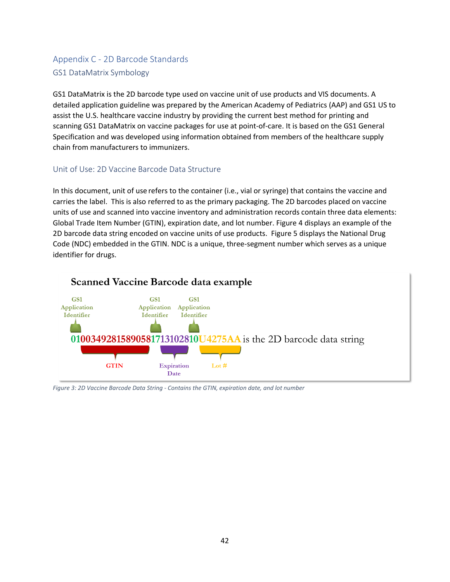# Appendix C - 2D Barcode Standards GS1 DataMatrix Symbology

<span id="page-41-1"></span><span id="page-41-0"></span>GS1 DataMatrix is the 2D barcode type used on vaccine unit of use products and VIS documents. A detailed application guideline was prepared by the American Academy of Pediatrics (AAP) and GS1 US to assist the U.S. healthcare vaccine industry by providing the current best method for printing and scanning GS1 DataMatrix on vaccine packages for use at point-of-care. It is based on the GS1 General Specification and was developed using information obtained from members of the healthcare supply chain from manufacturers to immunizers.

### Unit of Use: 2D Vaccine Barcode Data Structure

<span id="page-41-2"></span>In this document, unit of use refers to the container (i.e., vial or syringe) that contains the vaccine and carries the label. This is also referred to as the primary packaging. The 2D barcodes placed on vaccine units of use and scanned into vaccine inventory and administration records contain three data elements: Global Trade Item Number (GTIN), expiration date, and lot number. Figure 4 displays an example of the 2D barcode data string encoded on vaccine units of use products. Figure 5 displays the National Drug Code (NDC) embedded in the GTIN. NDC is a unique, three-segment number which serves as a unique identifier for drugs.



*Figure 3: 2D Vaccine Barcode Data String - Contains the GTIN, expiration date, and lot number*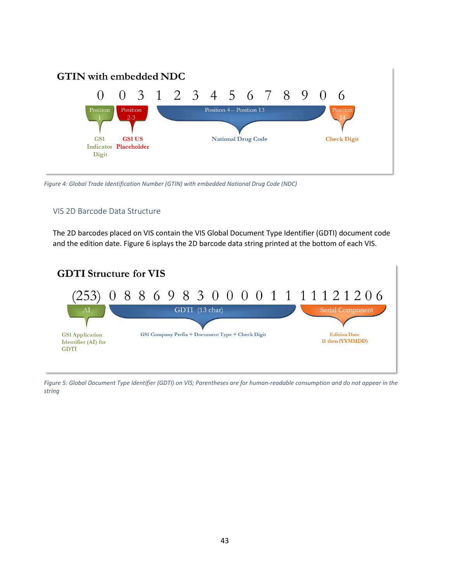

*Figure 4: Global Trade Identification Number (GTIN) with embedded National Drug Code (NDC)*

#### VIS 2D Barcode Data Structure

<span id="page-42-0"></span>The 2D barcodes placed on VIS contain the VIS Global Document Type Identifier (GDTI) document code and the edition date. Figure 6 isplays the 2D barcode data string printed at the bottom of each VIS.



*Figure 5: Global Document Type Identifier (GDTI) on VIS; Parentheses are for human-readable consumption and do not appear in the string*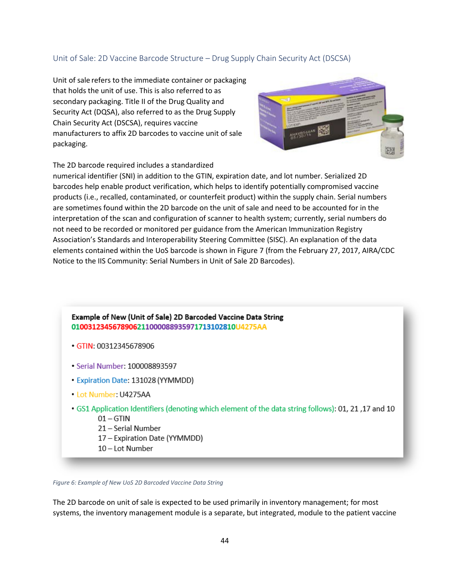#### Unit of Sale: 2D Vaccine Barcode Structure – Drug Supply Chain Security Act (DSCSA)

<span id="page-43-0"></span>Unit of sale refers to the immediate container or packaging that holds the unit of use. This is also referred to as secondary packaging. Title II of the Drug Quality and Security Act (DQSA), also referred to as the Drug Supply Chain Security Act (DSCSA), requires vaccine manufacturers to affix 2D barcodes to vaccine unit of sale packaging.



The 2D barcode required includes a standardized

numerical identifier (SNI) in addition to the GTIN, expiration date, and lot number. Serialized 2D barcodes help enable product verification, which helps to identify potentially compromised vaccine products (i.e., recalled, contaminated, or counterfeit product) within the supply chain. Serial numbers are sometimes found within the 2D barcode on the unit of sale and need to be accounted for in the interpretation of the scan and configuration of scanner to health system; currently, serial numbers do not need to be recorded or monitored per guidance from the American Immunization Registry Association's Standards and Interoperability Steering Committee (SISC). An explanation of the data elements contained within the UoS barcode is shown in Figure 7 (from the February 27, 2017, AIRA/CDC Notice to the IIS Community: Serial Numbers in Unit of Sale 2D Barcodes).

Example of New (Unit of Sale) 2D Barcoded Vaccine Data String 0100312345678906211000088935971713102810U4275AA

- GTIN: 00312345678906
- Serial Number: 100008893597
- Expiration Date: 131028 (YYMMDD)
- Lot Number: U4275AA
- GS1 Application Identifiers (denoting which element of the data string follows): 01, 21, 17 and 10  $01 - GTIN$ 
	- 21 Serial Number
	- 17 Expiration Date (YYMMDD)
	- 10-Lot Number

*Figure 6: Example of New UoS 2D Barcoded Vaccine Data String*

The 2D barcode on unit of sale is expected to be used primarily in inventory management; for most systems, the inventory management module is a separate, but integrated, module to the patient vaccine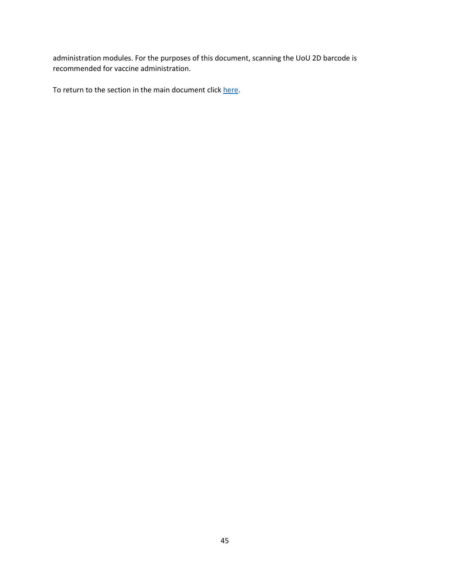administration modules. For the purposes of this document, scanning the UoU 2D barcode is recommended for vaccine administration.

To return to the section in the main document clic[k here.](#page-7-3)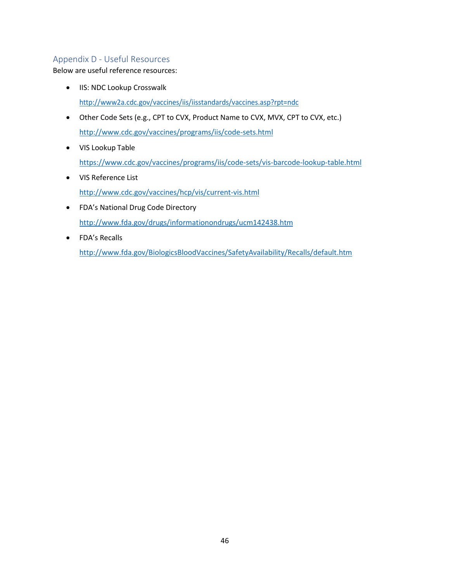# Appendix D - Useful Resources

Below are useful reference resources:

- <span id="page-45-0"></span>• IIS: NDC Lookup Crosswalk <http://www2a.cdc.gov/vaccines/iis/iisstandards/vaccines.asp?rpt=ndc>
- Other Code Sets (e.g., CPT to CVX, Product Name to CVX, MVX, CPT to CVX, etc.) [http://www.cdc.gov/vaccines/programs/iis/code-sets.html](https://www.cdc.gov/vaccines/programs/iis/code-sets.html)
- VIS Lookup Table <https://www.cdc.gov/vaccines/programs/iis/code-sets/vis-barcode-lookup-table.html>
- VIS Reference List <http://www.cdc.gov/vaccines/hcp/vis/current-vis.html>
- FDA's National Drug Code Directory http://www.fda.gov/drugs/informationondrugs/ucm142438.htm
- FDA's Recalls <http://www.fda.gov/BiologicsBloodVaccines/SafetyAvailability/Recalls/default.htm>